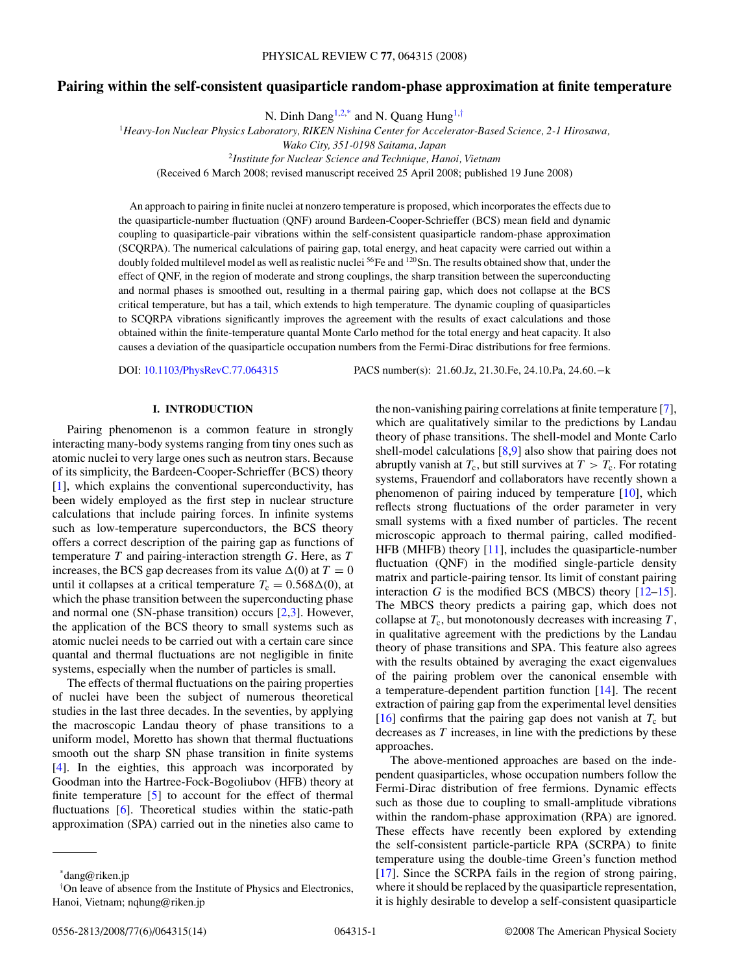# **Pairing within the self-consistent quasiparticle random-phase approximation at finite temperature**

N. Dinh Dang<sup>1,2,\*</sup> and N. Quang Hung<sup>1,†</sup>

<sup>1</sup>*Heavy-Ion Nuclear Physics Laboratory, RIKEN Nishina Center for Accelerator-Based Science, 2-1 Hirosawa,*

<sup>2</sup>*Institute for Nuclear Science and Technique, Hanoi, Vietnam*

(Received 6 March 2008; revised manuscript received 25 April 2008; published 19 June 2008)

An approach to pairing in finite nuclei at nonzero temperature is proposed, which incorporates the effects due to the quasiparticle-number fluctuation (QNF) around Bardeen-Cooper-Schrieffer (BCS) mean field and dynamic coupling to quasiparticle-pair vibrations within the self-consistent quasiparticle random-phase approximation (SCQRPA). The numerical calculations of pairing gap, total energy, and heat capacity were carried out within a doubly folded multilevel model as well as realistic nuclei  $56Fe$  and  $120Sn$ . The results obtained show that, under the effect of QNF, in the region of moderate and strong couplings, the sharp transition between the superconducting and normal phases is smoothed out, resulting in a thermal pairing gap, which does not collapse at the BCS critical temperature, but has a tail, which extends to high temperature. The dynamic coupling of quasiparticles to SCQRPA vibrations significantly improves the agreement with the results of exact calculations and those obtained within the finite-temperature quantal Monte Carlo method for the total energy and heat capacity. It also causes a deviation of the quasiparticle occupation numbers from the Fermi-Dirac distributions for free fermions.

DOI: [10.1103/PhysRevC.77.064315](http://dx.doi.org/10.1103/PhysRevC.77.064315) PACS number(s): 21*.*60*.*Jz, 21*.*30*.*Fe, 24*.*10*.*Pa, 24*.*60*.*−k

# **I. INTRODUCTION**

Pairing phenomenon is a common feature in strongly interacting many-body systems ranging from tiny ones such as atomic nuclei to very large ones such as neutron stars. Because of its simplicity, the Bardeen-Cooper-Schrieffer (BCS) theory [\[1\]](#page-13-0), which explains the conventional superconductivity, has been widely employed as the first step in nuclear structure calculations that include pairing forces. In infinite systems such as low-temperature superconductors, the BCS theory offers a correct description of the pairing gap as functions of temperature *T* and pairing-interaction strength *G*. Here, as *T* increases, the BCS gap decreases from its value  $\Delta(0)$  at  $T = 0$ until it collapses at a critical temperature  $T_c = 0.568\Delta(0)$ , at which the phase transition between the superconducting phase and normal one (SN-phase transition) occurs [\[2,3\]](#page-13-0). However, the application of the BCS theory to small systems such as atomic nuclei needs to be carried out with a certain care since quantal and thermal fluctuations are not negligible in finite systems, especially when the number of particles is small.

The effects of thermal fluctuations on the pairing properties of nuclei have been the subject of numerous theoretical studies in the last three decades. In the seventies, by applying the macroscopic Landau theory of phase transitions to a uniform model, Moretto has shown that thermal fluctuations smooth out the sharp SN phase transition in finite systems [\[4\]](#page-13-0). In the eighties, this approach was incorporated by Goodman into the Hartree-Fock-Bogoliubov (HFB) theory at finite temperature [\[5\]](#page-13-0) to account for the effect of thermal fluctuations [\[6\]](#page-13-0). Theoretical studies within the static-path approximation (SPA) carried out in the nineties also came to

the non-vanishing pairing correlations at finite temperature [\[7\]](#page-13-0), which are qualitatively similar to the predictions by Landau theory of phase transitions. The shell-model and Monte Carlo shell-model calculations [\[8,9\]](#page-13-0) also show that pairing does not abruptly vanish at  $T_c$ , but still survives at  $T > T_c$ . For rotating systems, Frauendorf and collaborators have recently shown a phenomenon of pairing induced by temperature [\[10\]](#page-13-0), which reflects strong fluctuations of the order parameter in very small systems with a fixed number of particles. The recent microscopic approach to thermal pairing, called modified-HFB (MHFB) theory [\[11\]](#page-13-0), includes the quasiparticle-number fluctuation (QNF) in the modified single-particle density matrix and particle-pairing tensor. Its limit of constant pairing interaction *G* is the modified BCS (MBCS) theory  $[12-15]$ . The MBCS theory predicts a pairing gap, which does not collapse at  $T_c$ , but monotonously decreases with increasing  $T$ , in qualitative agreement with the predictions by the Landau theory of phase transitions and SPA. This feature also agrees with the results obtained by averaging the exact eigenvalues of the pairing problem over the canonical ensemble with a temperature-dependent partition function [\[14\]](#page-13-0). The recent extraction of pairing gap from the experimental level densities [\[16\]](#page-13-0) confirms that the pairing gap does not vanish at  $T_c$  but decreases as *T* increases, in line with the predictions by these approaches.

The above-mentioned approaches are based on the independent quasiparticles, whose occupation numbers follow the Fermi-Dirac distribution of free fermions. Dynamic effects such as those due to coupling to small-amplitude vibrations within the random-phase approximation (RPA) are ignored. These effects have recently been explored by extending the self-consistent particle-particle RPA (SCRPA) to finite temperature using the double-time Green's function method [\[17\]](#page-13-0). Since the SCRPA fails in the region of strong pairing, where it should be replaced by the quasiparticle representation, it is highly desirable to develop a self-consistent quasiparticle

*Wako City, 351-0198 Saitama, Japan*

<sup>\*</sup>dang@riken.jp

<sup>†</sup> On leave of absence from the Institute of Physics and Electronics, Hanoi, Vietnam; nqhung@riken.jp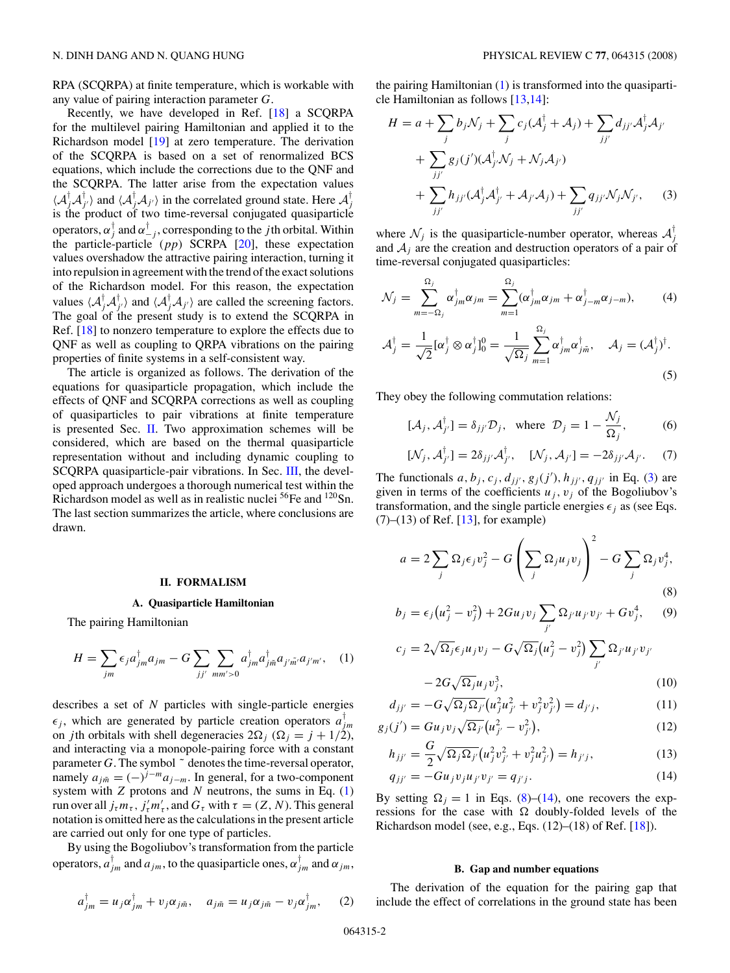<span id="page-1-0"></span>RPA (SCQRPA) at finite temperature, which is workable with any value of pairing interaction parameter *G*.

Recently, we have developed in Ref. [\[18\]](#page-13-0) a SCQRPA for the multilevel pairing Hamiltonian and applied it to the Richardson model [\[19\]](#page-13-0) at zero temperature. The derivation of the SCQRPA is based on a set of renormalized BCS equations, which include the corrections due to the QNF and the SCQRPA. The latter arise from the expectation values  $\langle A_j^{\dagger} A_{j'}^{\dagger} \rangle$  and  $\langle A_j^{\dagger} A_{j'} \rangle$  in the correlated ground state. Here  $A_j^{\dagger}$ is the product of two time-reversal conjugated quasiparticle operators,  $\alpha_j^{\dagger}$  and  $\alpha_{-j}^{\dagger}$ , corresponding to the *j*th orbital. Within the particle-particle (*pp*) SCRPA [\[20\]](#page-13-0), these expectation values overshadow the attractive pairing interaction, turning it into repulsion in agreement with the trend of the exact solutions of the Richardson model. For this reason, the expectation values  $\langle A_j^\dagger A_{j'}^\dagger \rangle$  and  $\langle A_j^\dagger A_{j'} \rangle$  are called the screening factors. The goal of the present study is to extend the SCQRPA in Ref. [\[18\]](#page-13-0) to nonzero temperature to explore the effects due to QNF as well as coupling to QRPA vibrations on the pairing properties of finite systems in a self-consistent way.

The article is organized as follows. The derivation of the equations for quasiparticle propagation, which include the effects of QNF and SCQRPA corrections as well as coupling of quasiparticles to pair vibrations at finite temperature is presented Sec. II. Two approximation schemes will be considered, which are based on the thermal quasiparticle representation without and including dynamic coupling to SCQRPA quasiparticle-pair vibrations. In Sec. [III,](#page-6-0) the developed approach undergoes a thorough numerical test within the Richardson model as well as in realistic nuclei <sup>56</sup>Fe and <sup>120</sup>Sn. The last section summarizes the article, where conclusions are drawn.

### **II. FORMALISM**

### **A. Quasiparticle Hamiltonian**

The pairing Hamiltonian

$$
H = \sum_{jm} \epsilon_j a_{jm}^{\dagger} a_{jm} - G \sum_{jj'} \sum_{mm' > 0} a_{jm}^{\dagger} a_{jm}^{\dagger} a_{j'm'} a_{j'm'}, \quad (1)
$$

describes a set of *N* particles with single-particle energies  $\epsilon_j$ , which are generated by particle creation operators  $a_{jm}^{\dagger}$ on *j*th orbitals with shell degeneracies  $2\Omega_i$  ( $\Omega_i = j + 1/2$ ), and interacting via a monopole-pairing force with a constant parameter  $G$ . The symbol  $\tilde{ }$  denotes the time-reversal operator, namely  $a_{j\tilde{m}} = (-)^{j-m} a_{j-m}$ . In general, for a two-component system with *Z* protons and *N* neutrons, the sums in Eq. (1)  $\tau$  run over all  $j_{\tau}m_{\tau}$ ,  $j'_{\tau}m'_{\tau}$ , and  $G_{\tau}$  with  $\tau = (Z, N)$ . This general notation is omitted here as the calculations in the present article are carried out only for one type of particles.

By using the Bogoliubov's transformation from the particle operators,  $a_{jm}^{\dagger}$  and  $a_{jm}$ , to the quasiparticle ones,  $\alpha_{jm}^{\dagger}$  and  $\alpha_{jm}$ ,

$$
a_{jm}^{\dagger} = u_j \alpha_{jm}^{\dagger} + v_j \alpha_{jm}, \quad a_{jn\tilde{n}} = u_j \alpha_{jm} - v_j \alpha_{jm}^{\dagger}, \quad (2)
$$

the pairing Hamiltonian (1) is transformed into the quasiparticle Hamiltonian as follows [\[13,14\]](#page-13-0):

$$
H = a + \sum_{j} b_{j} \mathcal{N}_{j} + \sum_{j} c_{j} (\mathcal{A}_{j}^{\dagger} + \mathcal{A}_{j}) + \sum_{jj'} d_{jj'} \mathcal{A}_{j}^{\dagger} \mathcal{A}_{j'}
$$
  
+ 
$$
\sum_{jj'} g_{j}(j') (\mathcal{A}_{j'}^{\dagger} \mathcal{N}_{j} + \mathcal{N}_{j} \mathcal{A}_{j'})
$$
  
+ 
$$
\sum_{jj'} h_{jj'} (\mathcal{A}_{j}^{\dagger} \mathcal{A}_{j'}^{\dagger} + \mathcal{A}_{j'} \mathcal{A}_{j}) + \sum_{jj'} q_{jj'} \mathcal{N}_{j} \mathcal{N}_{j'},
$$
 (3)

where  $\mathcal{N}_j$  is the quasiparticle-number operator, whereas  $\mathcal{A}_j^{\dagger}$ and  $A_j$  are the creation and destruction operators of a pair of time-reversal conjugated quasiparticles:

$$
\mathcal{N}_j = \sum_{m=-\Omega_j}^{\Omega_j} \alpha_{jm}^\dagger \alpha_{jm} = \sum_{m=1}^{\Omega_j} (\alpha_{jm}^\dagger \alpha_{jm} + \alpha_{j-m}^\dagger \alpha_{j-m}), \tag{4}
$$

$$
\mathcal{A}_j^{\dagger} = \frac{1}{\sqrt{2}} [\alpha_j^{\dagger} \otimes \alpha_j^{\dagger}]_0^0 = \frac{1}{\sqrt{\Omega_j}} \sum_{m=1}^{\Omega_j} \alpha_{jm}^{\dagger} \alpha_{jm}^{\dagger}, \quad \mathcal{A}_j = (\mathcal{A}_j^{\dagger})^{\dagger}.
$$
\n(5)

They obey the following commutation relations:

$$
[\mathcal{A}_j, \mathcal{A}_{j'}^{\dagger}] = \delta_{jj'} \mathcal{D}_j, \text{ where } \mathcal{D}_j = 1 - \frac{\mathcal{N}_j}{\Omega_j}, \tag{6}
$$

$$
[\mathcal{N}_j, \mathcal{A}_{j'}^{\dagger}] = 2\delta_{jj'} \mathcal{A}_{j'}^{\dagger}, \quad [\mathcal{N}_j, \mathcal{A}_{j'}] = -2\delta_{jj'} \mathcal{A}_{j'}.
$$
 (7)

The functionals  $a, b_j, c_j, d_{jj'}, g_j(j'), h_{jj'}, q_{jj'}$  in Eq. (3) are given in terms of the coefficients  $u_j$ ,  $v_j$  of the Bogoliubov's transformation, and the single particle energies  $\epsilon_i$  as (see Eqs.  $(7)$ – $(13)$  of Ref. [\[13\]](#page-13-0), for example)

$$
a = 2\sum_{j} \Omega_{j} \epsilon_{j} v_{j}^{2} - G \left(\sum_{j} \Omega_{j} u_{j} v_{j}\right)^{2} - G \sum_{j} \Omega_{j} v_{j}^{4},
$$
\n(8)

$$
b_j = \epsilon_j (u_j^2 - v_j^2) + 2Gu_j v_j \sum_{j'} \Omega_{j'} u_{j'} v_{j'} + G v_j^4, \quad (9)
$$

$$
c_j = 2\sqrt{\Omega_j} \epsilon_j u_j v_j - G\sqrt{\Omega_j} (u_j^2 - v_j^2) \sum_{j'} \Omega_{j'} u_{j'} v_{j'}
$$

$$
-2G\sqrt{\Omega_j}u_jv_j^3,
$$
\t(10)

$$
d_{jj'} = -G\sqrt{\Omega_j \Omega_{j'}} \left( u_j^2 u_{j'}^2 + v_j^2 v_{j'}^2 \right) = d_{j'j}, \qquad (11)
$$

$$
g_j(j') = Gu_j v_j \sqrt{\Omega_{j'}} (u_{j'}^2 - v_{j'}^2), \qquad (12)
$$

$$
h_{jj'} = \frac{G}{2} \sqrt{\Omega_j \Omega_{j'}} \left( u_j^2 v_{j'}^2 + v_j^2 u_{j'}^2 \right) = h_{j'j}, \qquad (13)
$$

$$
q_{jj'} = -G u_j v_j u_{j'} v_{j'} = q_{j'j}.
$$
 (14)

By setting  $\Omega_i = 1$  in Eqs. (8)–(14), one recovers the expressions for the case with  $\Omega$  doubly-folded levels of the Richardson model (see, e.g., Eqs.  $(12)$ – $(18)$  of Ref.  $[18]$ ).

#### **B. Gap and number equations**

The derivation of the equation for the pairing gap that include the effect of correlations in the ground state has been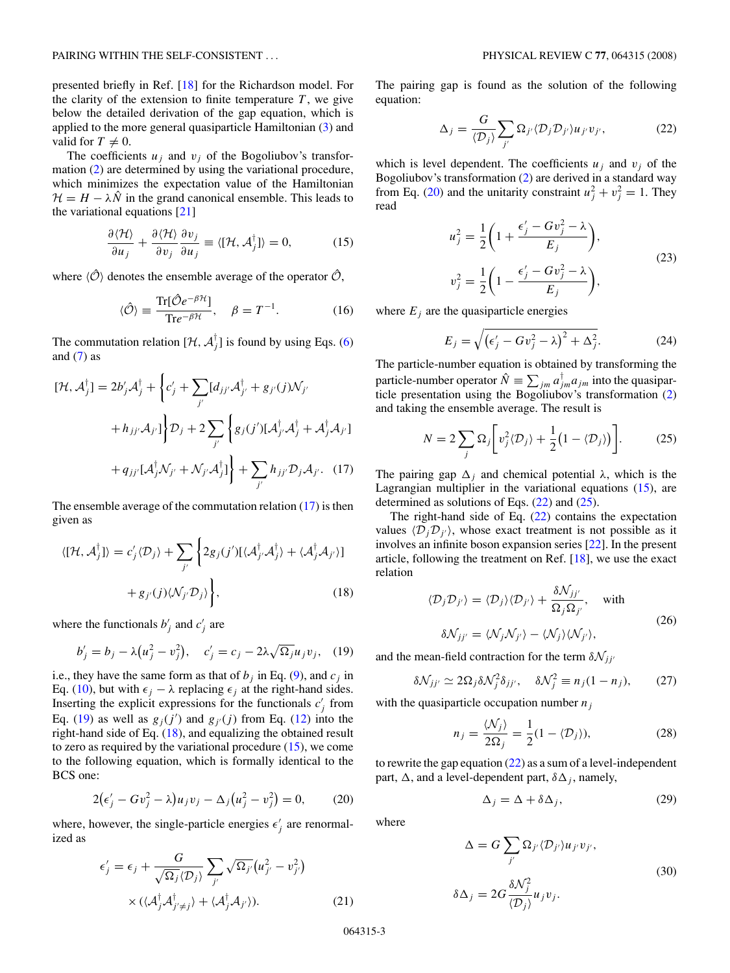<span id="page-2-0"></span>presented briefly in Ref. [\[18\]](#page-13-0) for the Richardson model. For the clarity of the extension to finite temperature  $T$ , we give below the detailed derivation of the gap equation, which is applied to the more general quasiparticle Hamiltonian [\(3\)](#page-1-0) and valid for  $T \neq 0$ .

The coefficients  $u_j$  and  $v_j$  of the Bogoliubov's transformation [\(2\)](#page-1-0) are determined by using the variational procedure, which minimizes the expectation value of the Hamiltonian  $\mathcal{H} = H - \lambda \hat{N}$  in the grand canonical ensemble. This leads to the variational equations [\[21\]](#page-13-0)

$$
\frac{\partial \langle \mathcal{H} \rangle}{\partial u_j} + \frac{\partial \langle \mathcal{H} \rangle}{\partial v_j} \frac{\partial v_j}{\partial u_j} \equiv \langle [\mathcal{H}, \mathcal{A}_j^{\dagger}] \rangle = 0, \tag{15}
$$

where  $\langle \hat{O} \rangle$  denotes the ensemble average of the operator  $\hat{O}$ ,

$$
\langle \hat{\mathcal{O}} \rangle \equiv \frac{\text{Tr}[\hat{\mathcal{O}}e^{-\beta \mathcal{H}}]}{\text{Tr}e^{-\beta \mathcal{H}}}, \quad \beta = T^{-1}.
$$
 (16)

The commutation relation  $[\mathcal{H}, \mathcal{A}_j^{\dagger}]$  is found by using Eqs. [\(6\)](#page-1-0) and  $(7)$  as

$$
[\mathcal{H}, \mathcal{A}_j^{\dagger}] = 2b'_j \mathcal{A}_j^{\dagger} + \left\{ c'_j + \sum_{j'} [d_{jj'} \mathcal{A}_{j'}^{\dagger} + g_{j'}(j) \mathcal{N}_{j'} + h_{jj'} \mathcal{A}_{j'}] \right\} \mathcal{D}_j + 2 \sum_{j'} \left\{ g_j(j') [\mathcal{A}_j^{\dagger} \mathcal{A}_j^{\dagger} + \mathcal{A}_j^{\dagger} \mathcal{A}_{j'}] + q_{jj'} [\mathcal{A}_j^{\dagger} \mathcal{N}_{j'} + \mathcal{N}_{j'} \mathcal{A}_j^{\dagger}] \right\} + \sum_{j'} h_{jj'} \mathcal{D}_j \mathcal{A}_{j'}.
$$
 (17)

The ensemble average of the commutation relation  $(17)$  is then given as

$$
\langle [\mathcal{H}, \mathcal{A}_j^{\dagger}] \rangle = c_j' \langle \mathcal{D}_j \rangle + \sum_{j'} \left\{ 2g_j(j') [\langle \mathcal{A}_{j'}^{\dagger} \mathcal{A}_j^{\dagger} \rangle + \langle \mathcal{A}_j^{\dagger} \mathcal{A}_{j'} \rangle] + g_{j'}(j) \langle \mathcal{N}_{j'} \mathcal{D}_j \rangle \right\},
$$
\n(18)

where the functionals  $b'_j$  and  $c'_j$  are

$$
b'_j = b_j - \lambda (u_j^2 - v_j^2),
$$
  $c'_j = c_j - 2\lambda \sqrt{\Omega_j} u_j v_j,$  (19)

i.e., they have the same form as that of  $b_j$  in Eq. [\(9\)](#page-1-0), and  $c_j$  in Eq. [\(10\)](#page-1-0), but with  $\epsilon_j - \lambda$  replacing  $\epsilon_j$  at the right-hand sides. Inserting the explicit expressions for the functionals  $c_j$  from Eq. (19) as well as  $g_j(j')$  and  $g_{j'}(j)$  from Eq. [\(12\)](#page-1-0) into the right-hand side of Eq. (18), and equalizing the obtained result to zero as required by the variational procedure  $(15)$ , we come to the following equation, which is formally identical to the BCS one:

$$
2(\epsilon'_{j} - Gv_{j}^{2} - \lambda)u_{j}v_{j} - \Delta_{j}(u_{j}^{2} - v_{j}^{2}) = 0, \qquad (20)
$$

where, however, the single-particle energies  $\epsilon'_j$  are renormalized as

$$
\epsilon'_{j} = \epsilon_{j} + \frac{G}{\sqrt{\Omega_{j}} \langle D_{j} \rangle} \sum_{j'} \sqrt{\Omega_{j'}} (u_{j'}^{2} - v_{j'}^{2})
$$

$$
\times (\langle A_{j}^{\dagger} A_{j' \neq j}^{\dagger} \rangle + \langle A_{j}^{\dagger} A_{j'} \rangle). \tag{21}
$$

The pairing gap is found as the solution of the following equation:

$$
\Delta_j = \frac{G}{\langle \mathcal{D}_j \rangle} \sum_{j'} \Omega_{j'} \langle \mathcal{D}_j \mathcal{D}_{j'} \rangle u_{j'} v_{j'}, \tag{22}
$$

which is level dependent. The coefficients  $u_i$  and  $v_j$  of the Bogoliubov's transformation [\(2\)](#page-1-0) are derived in a standard way from Eq. (20) and the unitarity constraint  $u_j^2 + v_j^2 = 1$ . They read

$$
u_j^2 = \frac{1}{2} \left( 1 + \frac{\epsilon_j' - G v_j^2 - \lambda}{E_j} \right),
$$
  
\n
$$
v_j^2 = \frac{1}{2} \left( 1 - \frac{\epsilon_j' - G v_j^2 - \lambda}{E_j} \right),
$$
\n(23)

where  $E_i$  are the quasiparticle energies

$$
E_j = \sqrt{\left(\epsilon_j' - G v_j^2 - \lambda\right)^2 + \Delta_j^2}.\tag{24}
$$

The particle-number equation is obtained by transforming the particle-number operator  $\hat{N} \equiv \sum_{jm} a_{jm}^{\dagger} a_{jm}$  into the quasiparticle presentation using the Bogoliubov's transformation [\(2\)](#page-1-0) and taking the ensemble average. The result is

$$
N = 2\sum_{j} \Omega_{j} \bigg[ v_{j}^{2} \langle D_{j} \rangle + \frac{1}{2} \big( 1 - \langle D_{j} \rangle \big) \bigg]. \tag{25}
$$

The pairing gap  $\Delta_i$  and chemical potential  $\lambda$ , which is the Lagrangian multiplier in the variational equations (15), are determined as solutions of Eqs.  $(22)$  and  $(25)$ .

The right-hand side of Eq.  $(22)$  contains the expectation values  $\langle D_j D_{j'} \rangle$ , whose exact treatment is not possible as it involves an infinite boson expansion series [\[22\]](#page-13-0). In the present article, following the treatment on Ref. [\[18\]](#page-13-0), we use the exact relation

$$
\langle \mathcal{D}_j \mathcal{D}_{j'} \rangle = \langle \mathcal{D}_j \rangle \langle \mathcal{D}_{j'} \rangle + \frac{\delta \mathcal{N}_{jj'}}{\Omega_j \Omega_{j'}}, \quad \text{with}
$$
  

$$
\delta \mathcal{N}_{jj'} = \langle \mathcal{N}_j \mathcal{N}_{j'} \rangle - \langle \mathcal{N}_j \rangle \langle \mathcal{N}_{j'} \rangle,
$$
 (26)

and the mean-field contraction for the term  $\delta \mathcal{N}_{jj'}$ 

$$
\delta \mathcal{N}_{jj'} \simeq 2\Omega_j \delta \mathcal{N}_j^2 \delta_{jj'}, \quad \delta \mathcal{N}_j^2 \equiv n_j (1 - n_j), \qquad (27)
$$

with the quasiparticle occupation number  $n_j$ 

$$
n_j = \frac{\langle \mathcal{N}_j \rangle}{2\Omega_j} = \frac{1}{2}(1 - \langle \mathcal{D}_j \rangle),\tag{28}
$$

to rewrite the gap equation  $(22)$  as a sum of a level-independent part,  $\Delta$ , and a level-dependent part,  $\delta \Delta_i$ , namely,

$$
\Delta_j = \Delta + \delta \Delta_j, \tag{29}
$$

where

$$
\Delta = G \sum_{j'} \Omega_{j'} \langle D_{j'} \rangle u_{j'} v_{j'},
$$
  

$$
\delta \Delta_j = 2G \frac{\delta \mathcal{N}_j^2}{\langle \mathcal{D}_j \rangle} u_j v_j.
$$
 (30)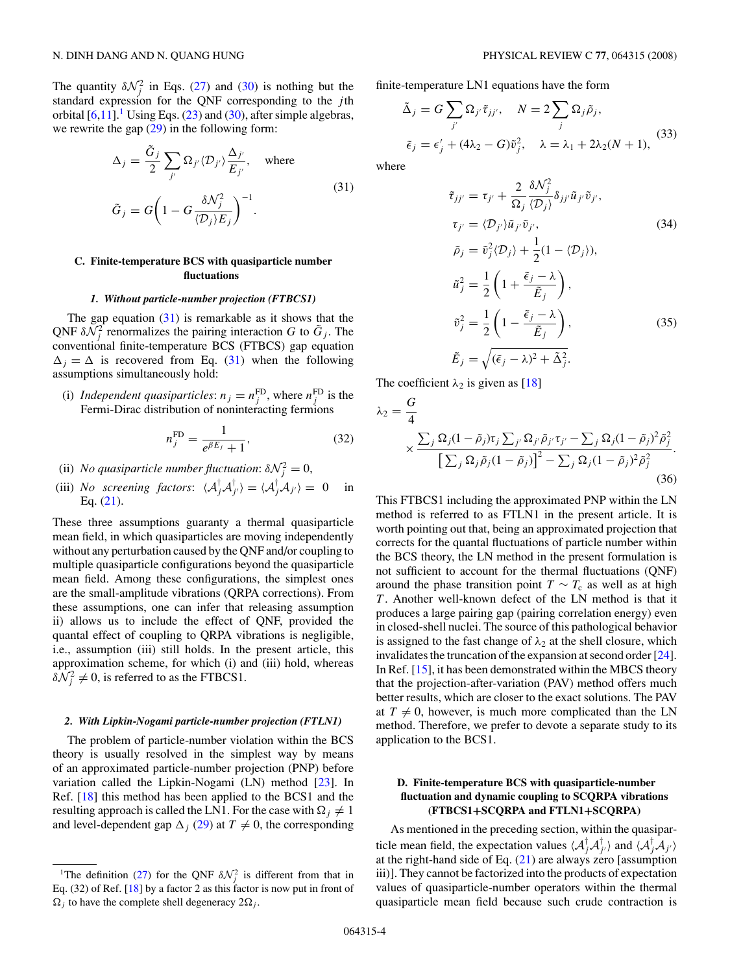<span id="page-3-0"></span>The quantity  $\delta \mathcal{N}_j^2$  in Eqs. [\(27\)](#page-2-0) and [\(30\)](#page-2-0) is nothing but the standard expression for the QNF corresponding to the *j* th orbital  $[6,11]$ .<sup>1</sup> Using Eqs. [\(23\)](#page-2-0) and [\(30\)](#page-2-0), after simple algebras, we rewrite the gap  $(29)$  in the following form:

$$
\Delta_j = \frac{\tilde{G}_j}{2} \sum_{j'} \Omega_{j'} \langle \mathcal{D}_{j'} \rangle \frac{\Delta_{j'}}{E_{j'}}, \quad \text{where}
$$
\n
$$
\tilde{G}_j = G \bigg( 1 - G \frac{\delta \mathcal{N}_j^2}{\langle \mathcal{D}_j \rangle E_j} \bigg)^{-1}.
$$
\n(31)

# **C. Finite-temperature BCS with quasiparticle number fluctuations**

### *1. Without particle-number projection (FTBCS1)*

The gap equation  $(31)$  is remarkable as it shows that the QNF  $\delta \mathcal{N}_j^2$  renormalizes the pairing interaction *G* to  $\tilde{G}_j$ . The conventional finite-temperature BCS (FTBCS) gap equation  $\Delta_i = \Delta$  is recovered from Eq. (31) when the following assumptions simultaneously hold:

(i) *Independent quasiparticles:*  $n_j = n_j^{FD}$ , where  $n_j^{FD}$  is the Fermi-Dirac distribution of noninteracting fermions

$$
n_j^{\rm FD} = \frac{1}{e^{\beta E_j} + 1},\tag{32}
$$

- (ii) *No quasiparticle number fluctuation*:  $\delta \mathcal{N}_j^2 = 0$ ,
- (iii) *No screening factors:*  $\langle A_j^{\dagger} A_{j'}^{\dagger} \rangle = \langle A_j^{\dagger} A_{j'} \rangle = 0$  in Eq. [\(21\)](#page-2-0).

These three assumptions guaranty a thermal quasiparticle mean field, in which quasiparticles are moving independently without any perturbation caused by the QNF and/or coupling to multiple quasiparticle configurations beyond the quasiparticle mean field. Among these configurations, the simplest ones are the small-amplitude vibrations (QRPA corrections). From these assumptions, one can infer that releasing assumption ii) allows us to include the effect of QNF, provided the quantal effect of coupling to QRPA vibrations is negligible, i.e., assumption (iii) still holds. In the present article, this approximation scheme, for which (i) and (iii) hold, whereas  $\delta \mathcal{N}_j^2 \neq 0$ , is referred to as the FTBCS1.

### *2. With Lipkin-Nogami particle-number projection (FTLN1)*

The problem of particle-number violation within the BCS theory is usually resolved in the simplest way by means of an approximated particle-number projection (PNP) before variation called the Lipkin-Nogami (LN) method [\[23\]](#page-13-0). In Ref. [\[18\]](#page-13-0) this method has been applied to the BCS1 and the resulting approach is called the LN1. For the case with  $\Omega_i \neq 1$ and level-dependent gap  $\Delta_i$  [\(29\)](#page-2-0) at  $T \neq 0$ , the corresponding finite-temperature LN1 equations have the form

$$
\tilde{\Delta}_j = G \sum_{j'} \Omega_{j'} \tilde{\tau}_{jj'}, \quad N = 2 \sum_j \Omega_j \tilde{\rho}_j,
$$
  

$$
\tilde{\epsilon}_j = \epsilon'_j + (4\lambda_2 - G)\tilde{v}_j^2, \quad \lambda = \lambda_1 + 2\lambda_2(N+1),
$$
 (33)

where

$$
\tilde{\tau}_{jj'} = \tau_{j'} + \frac{2}{\Omega_j} \frac{\delta \mathcal{N}_j^2}{\langle \mathcal{D}_j \rangle} \delta_{jj'} \tilde{u}_{j'} \tilde{v}_{j'},
$$
\n
$$
\tau_{j'} = \langle \mathcal{D}_{j'} \rangle \tilde{u}_{j'} \tilde{v}_{j'},
$$
\n
$$
\tilde{\rho}_j = \tilde{v}_j^2 \langle \mathcal{D}_j \rangle + \frac{1}{2} (1 - \langle \mathcal{D}_j \rangle),
$$
\n
$$
\tilde{u}_j^2 = \frac{1}{2} \left( 1 + \frac{\tilde{\epsilon}_j - \lambda}{\tilde{E}_j} \right),
$$
\n
$$
\tilde{v}_j^2 = \frac{1}{2} \left( 1 - \frac{\tilde{\epsilon}_j - \lambda}{\tilde{E}_j} \right),
$$
\n
$$
\tilde{E}_j = \sqrt{(\tilde{\epsilon}_j - \lambda)^2 + \tilde{\Delta}_j^2}.
$$
\n(35)

The coefficient  $\lambda_2$  is given as [\[18\]](#page-13-0)

$$
\lambda_2 = \frac{G}{4}
$$
  
 
$$
\times \frac{\sum_j \Omega_j (1 - \tilde{\rho}_j) \tau_j \sum_{j'} \Omega_{j'} \tilde{\rho}_{j'} \tau_{j'} - \sum_j \Omega_j (1 - \tilde{\rho}_j)^2 \tilde{\rho}_j^2}{\left[\sum_j \Omega_j \tilde{\rho}_j (1 - \tilde{\rho}_j)\right]^2 - \sum_j \Omega_j (1 - \tilde{\rho}_j)^2 \tilde{\rho}_j^2}
$$
(36)

This FTBCS1 including the approximated PNP within the LN method is referred to as FTLN1 in the present article. It is worth pointing out that, being an approximated projection that corrects for the quantal fluctuations of particle number within the BCS theory, the LN method in the present formulation is not sufficient to account for the thermal fluctuations (QNF) around the phase transition point  $T \sim T_c$  as well as at high *T* . Another well-known defect of the LN method is that it produces a large pairing gap (pairing correlation energy) even in closed-shell nuclei. The source of this pathological behavior is assigned to the fast change of  $\lambda_2$  at the shell closure, which invalidates the truncation of the expansion at second order [\[24\]](#page-13-0). In Ref. [\[15\]](#page-13-0), it has been demonstrated within the MBCS theory that the projection-after-variation (PAV) method offers much better results, which are closer to the exact solutions. The PAV at  $T \neq 0$ , however, is much more complicated than the LN method. Therefore, we prefer to devote a separate study to its application to the BCS1.

# **D. Finite-temperature BCS with quasiparticle-number fluctuation and dynamic coupling to SCQRPA vibrations (FTBCS1+SCQRPA and FTLN1+SCQRPA)**

As mentioned in the preceding section, within the quasiparticle mean field, the expectation values  $\langle A_j^{\dagger} A_{j'}^{\dagger} \rangle$  and  $\langle A_j^{\dagger} A_{j'} \rangle$ at the right-hand side of Eq.  $(21)$  are always zero [assumption iii)]. They cannot be factorized into the products of expectation values of quasiparticle-number operators within the thermal quasiparticle mean field because such crude contraction is

<sup>&</sup>lt;sup>1</sup>The definition [\(27\)](#page-2-0) for the QNF  $\delta \mathcal{N}_j^2$  is different from that in Eq. (32) of Ref. [\[18\]](#page-13-0) by a factor 2 as this factor is now put in front of  $\Omega_i$  to have the complete shell degeneracy  $2\Omega_i$ .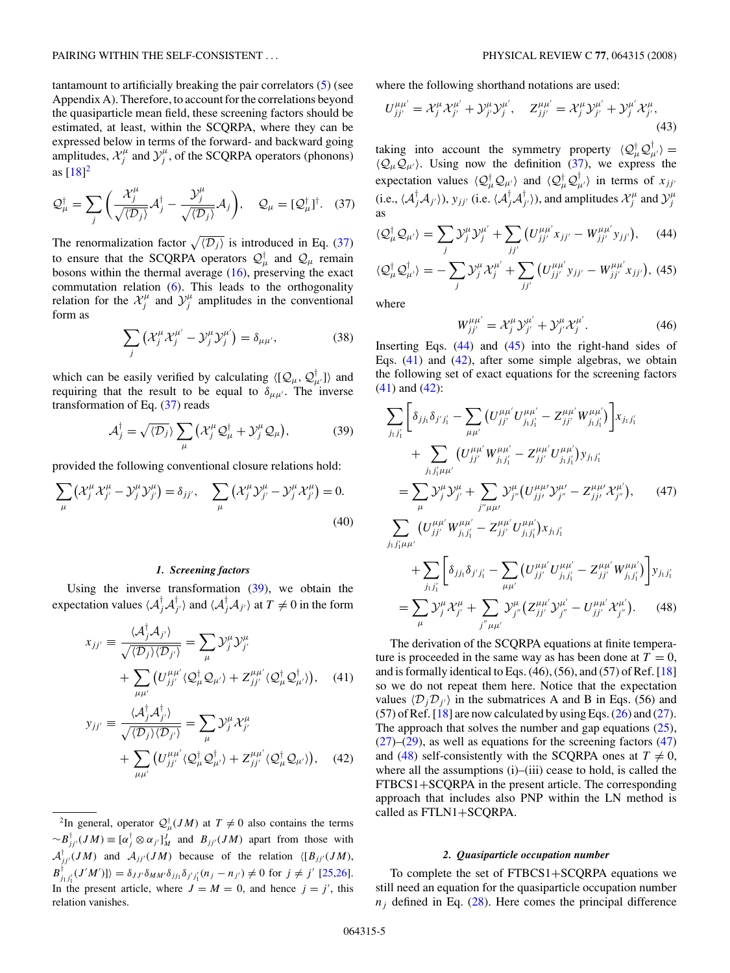<span id="page-4-0"></span>tantamount to artificially breaking the pair correlators [\(5\)](#page-1-0) (see Appendix A). Therefore, to account for the correlations beyond the quasiparticle mean field, these screening factors should be estimated, at least, within the SCQRPA, where they can be expressed below in terms of the forward- and backward going amplitudes,  $\mathcal{X}_j^{\mu}$  and  $\mathcal{Y}_j^{\mu}$ , of the SCQRPA operators (phonons) as  $[18]^2$  $[18]^2$ 

$$
\mathcal{Q}_{\mu}^{\dagger} = \sum_{j} \left( \frac{\mathcal{X}_{j}^{\mu}}{\sqrt{\langle \mathcal{D}_{j} \rangle}} \mathcal{A}_{j}^{\dagger} - \frac{\mathcal{Y}_{j}^{\mu}}{\sqrt{\langle \mathcal{D}_{j} \rangle}} \mathcal{A}_{j} \right), \quad \mathcal{Q}_{\mu} = [\mathcal{Q}_{\mu}^{\dagger}]^{\dagger}. \quad (37)
$$

The renormalization factor  $\sqrt{\langle D_j \rangle}$  is introduced in Eq. (37) to ensure that the SCQRPA operators  $\mathcal{Q}^{\dagger}_{\mu}$  and  $\mathcal{Q}_{\mu}$  remain bosons within the thermal average [\(16\)](#page-2-0), preserving the exact commutation relation [\(6\)](#page-1-0). This leads to the orthogonality relation for the  $\mathcal{X}_j^{\mu}$  and  $\mathcal{Y}_j^{\mu}$  amplitudes in the conventional form as

$$
\sum_{j} \left( \mathcal{X}_{j}^{\mu} \mathcal{X}_{j}^{\mu'} - \mathcal{Y}_{j}^{\mu} \mathcal{Y}_{j}^{\mu'} \right) = \delta_{\mu \mu'}, \tag{38}
$$

which can be easily verified by calculating  $\langle [Q_\mu, Q_\mu^{\dagger}] \rangle$  and requiring that the result to be equal to  $\delta_{\mu\mu'}$ . The inverse transformation of Eq. (37) reads

$$
\mathcal{A}_j^\dagger = \sqrt{\langle \mathcal{D}_j \rangle} \sum_{\mu} \left( \mathcal{X}_j^{\mu} \mathcal{Q}_{\mu}^\dagger + \mathcal{Y}_j^{\mu} \mathcal{Q}_{\mu} \right), \tag{39}
$$

provided the following conventional closure relations hold:

$$
\sum_{\mu} \left( \mathcal{X}_j^{\mu} \mathcal{X}_{j'}^{\mu} - \mathcal{Y}_j^{\mu} \mathcal{Y}_{j'}^{\mu} \right) = \delta_{jj'}, \quad \sum_{\mu} \left( \mathcal{X}_j^{\mu} \mathcal{Y}_{j'}^{\mu} - \mathcal{Y}_j^{\mu} \mathcal{X}_{j'}^{\mu} \right) = 0.
$$
\n(40)

### *1. Screening factors*

Using the inverse transformation  $(39)$ , we obtain the expectation values  $\langle A_j^{\dagger} A_{j'}^{\dagger} \rangle$  and  $\langle A_j^{\dagger} A_{j'} \rangle$  at  $T \neq 0$  in the form

$$
x_{jj'} \equiv \frac{\langle A_j^\dagger A_{j'} \rangle}{\sqrt{\langle D_j \rangle \langle D_{j'} \rangle}} = \sum_{\mu} \mathcal{Y}_j^{\mu} \mathcal{Y}_{j'}^{\mu} + \sum_{\mu \mu'} \left( U_{jj'}^{\mu \mu'} \langle \mathcal{Q}_{\mu}^\dagger \mathcal{Q}_{\mu'} \rangle + Z_{jj'}^{\mu \mu'} \langle \mathcal{Q}_{\mu}^\dagger \mathcal{Q}_{\mu'}^\dagger \rangle \right), \quad (41)
$$

$$
y_{jj'} \equiv \frac{\langle \mathcal{A}_j^{\dagger} \mathcal{A}_{j'}^{\dagger} \rangle}{\sqrt{\langle \mathcal{D}_j \rangle \langle \mathcal{D}_{j'} \rangle}} = \sum_{\mu} \mathcal{Y}_j^{\mu} \mathcal{X}_{j'}^{\mu} + \sum_{\mu \mu'} \left( U_{jj'}^{\mu \mu'} \langle \mathcal{Q}_{\mu}^{\dagger} \mathcal{Q}_{\mu'}^{\dagger} \rangle + Z_{jj'}^{\mu \mu'} \langle \mathcal{Q}_{\mu}^{\dagger} \mathcal{Q}_{\mu'} \rangle \right), \quad (42)
$$

<sup>2</sup>In general, operator  $\mathcal{Q}_{\mu}^{\dagger}(JM)$  at  $T \neq 0$  also contains the terms  $\sim B^{\dagger}_{jj'}(JM) \equiv [\alpha^{\dagger}_j \otimes \alpha_{j'}]^J_M$  and  $B_{jj'}(JM)$  apart from those with  $A_{jj'}^{\dagger}(JM)$  and  $A_{jj'}(JM)$  because of the relation  $\langle [B_{jj'}(JM),$  $B^{\dagger}_{j_1j'_1}(J'M')]\rangle = \delta_{JJ'}\delta_{MM'}\delta_{jj_1}\delta_{j'j'_1}(n_j - n_{j'}) \neq 0$  for  $j \neq j'$  [\[25,26\]](#page-13-0). In the present article, where  $J = M = 0$ , and hence  $j = j'$ , this relation vanishes.

where the following shorthand notations are used:

$$
U_{jj'}^{\mu\mu'} = \mathcal{X}_j^{\mu} \mathcal{X}_{j'}^{\mu'} + \mathcal{Y}_{j'}^{\mu} \mathcal{Y}_j^{\mu'}, \quad Z_{jj'}^{\mu\mu'} = \mathcal{X}_j^{\mu} \mathcal{Y}_{j'}^{\mu'} + \mathcal{Y}_{j'}^{\mu'} \mathcal{X}_{j'}^{\mu},
$$
\n(43)

taking into account the symmetry property  $\langle Q^{\dagger}_{\mu} Q^{\dagger}_{\mu'} \rangle =$  $\langle Q_\mu Q_{\mu'} \rangle$ . Using now the definition (37), we express the expectation values  $\langle \mathcal{Q}^{\dagger}_{\mu} \mathcal{Q}_{\mu'} \rangle$  and  $\langle \mathcal{Q}^{\dagger}_{\mu} \mathcal{Q}^{\dagger}_{\mu'} \rangle$  in terms of  $x_{jj'}$ (i.e.,  $\langle A_j^{\dagger}A_{j'} \rangle$ ),  $y_{jj'}$  (i.e.  $\langle A_j^{\dagger}A_{j'}^{\dagger} \rangle$ ), and amplitudes  $\mathcal{X}_j^{\mu}$  and  $\mathcal{Y}_j^{\mu}$  as

$$
\langle \mathcal{Q}_{\mu}^{\dagger} \mathcal{Q}_{\mu'} \rangle = \sum_{j} \mathcal{Y}_{j}^{\mu} \mathcal{Y}_{j}^{\mu'} + \sum_{jj'} \left( U_{jj'}^{\mu \mu'} x_{jj'} - W_{jj'}^{\mu \mu'} y_{jj'} \right), \quad (44)
$$
  

$$
\langle \mathcal{Q}_{\mu}^{\dagger} \mathcal{Q}_{\mu'}^{\dagger} \rangle = - \sum_{j} \mathcal{Y}_{j}^{\mu} \mathcal{X}_{j}^{\mu'} + \sum_{jj'} \left( U_{jj'}^{\mu \mu'} y_{jj'} - W_{jj'}^{\mu \mu'} x_{jj'} \right), \quad (45)
$$

*jj* -

where

$$
W^{\mu\mu'}_{jj'} = \mathcal{X}_j^{\mu} \mathcal{Y}_{j'}^{\mu'} + \mathcal{Y}_{j'}^{\mu} \mathcal{X}_j^{\mu'}.
$$
 (46)

Inserting Eqs.  $(44)$  and  $(45)$  into the right-hand sides of Eqs. (41) and (42), after some simple algebras, we obtain the following set of exact equations for the screening factors (41) and (42):

$$
\sum_{j_1j'_1} \left[ \delta_{jj_1} \delta_{j'j'_1} - \sum_{\mu\mu'} \left( U_{jj'}^{\mu\mu'} U_{j_1j'_1}^{\mu\mu'} - Z_{jj'}^{\mu\mu'} W_{j_1j'_1}^{\mu\mu'} \right) \right] x_{j_1j'_1} \n+ \sum_{j_1j'_1\mu\mu'} \left( U_{jj'}^{\mu\mu'} W_{j_1j'_1}^{\mu\mu'} - Z_{jj'}^{\mu\mu'} U_{j_1j'_1}^{\mu\mu'} \right) y_{j_1j'_1} \n= \sum_{\mu} \mathcal{Y}_{j}^{\mu} \mathcal{Y}_{j'}^{\mu} + \sum_{j''\mu\nu} \mathcal{Y}_{j''}^{\mu} \left( U_{jj'}^{\mu\mu'} \mathcal{Y}_{j''}^{\mu'} - Z_{jj'}^{\mu\mu'} \mathcal{X}_{j''}^{\mu'} \right), \qquad (47)
$$
\n
$$
\sum_{j_1j'_1\mu\mu'} \left( U_{jj'}^{\mu\mu'} W_{j_1j'_1}^{\mu\mu'} - Z_{jj'}^{\mu\mu'} U_{j_1j'_1}^{\mu\mu'} \right) x_{j_1j'_1} \n+ \sum_{j_1j'_1} \left[ \delta_{jj_1} \delta_{j'j'_1} - \sum_{\mu\mu'} \left( U_{jj'}^{\mu\mu'} U_{j_1j'_1}^{\mu\mu'} - Z_{jj'}^{\mu\mu'} W_{j_1j'_1}^{\mu\mu'} \right) \right] y_{j_1j'_1}
$$

$$
= \sum_{\mu} \mathcal{Y}_{j}^{\mu} \mathcal{X}_{j'}^{\mu} + \sum_{j'' \mu \mu'} \mathcal{Y}_{j''}^{\mu} (Z_{jj'}^{\mu \mu'} \mathcal{Y}_{j''}^{\mu'} - U_{jj'}^{\mu \mu'} \mathcal{X}_{j''}^{\mu'}).
$$
 (48)

The derivation of the SCQRPA equations at finite temperature is proceeded in the same way as has been done at  $T = 0$ , and is formally identical to Eqs.  $(46)$ ,  $(56)$ , and  $(57)$  of Ref. [\[18\]](#page-13-0) so we do not repeat them here. Notice that the expectation values  $\langle D_j D_{j'} \rangle$  in the submatrices A and B in Eqs. (56) and  $(57)$  of Ref. [\[18\]](#page-13-0) are now calculated by using Eqs.  $(26)$  and  $(27)$ . The approach that solves the number and gap equations  $(25)$ ,  $(27)$ – $(29)$ , as well as equations for the screening factors  $(47)$ and (48) self-consistently with the SCQRPA ones at  $T \neq 0$ , where all the assumptions (i)–(iii) cease to hold, is called the FTBCS1+SCQRPA in the present article. The corresponding approach that includes also PNP within the LN method is called as FTLN1+SCQRPA.

### *2. Quasiparticle occupation number*

To complete the set of FTBCS1+SCQRPA equations we still need an equation for the quasiparticle occupation number  $n_j$  defined in Eq. [\(28\)](#page-2-0). Here comes the principal difference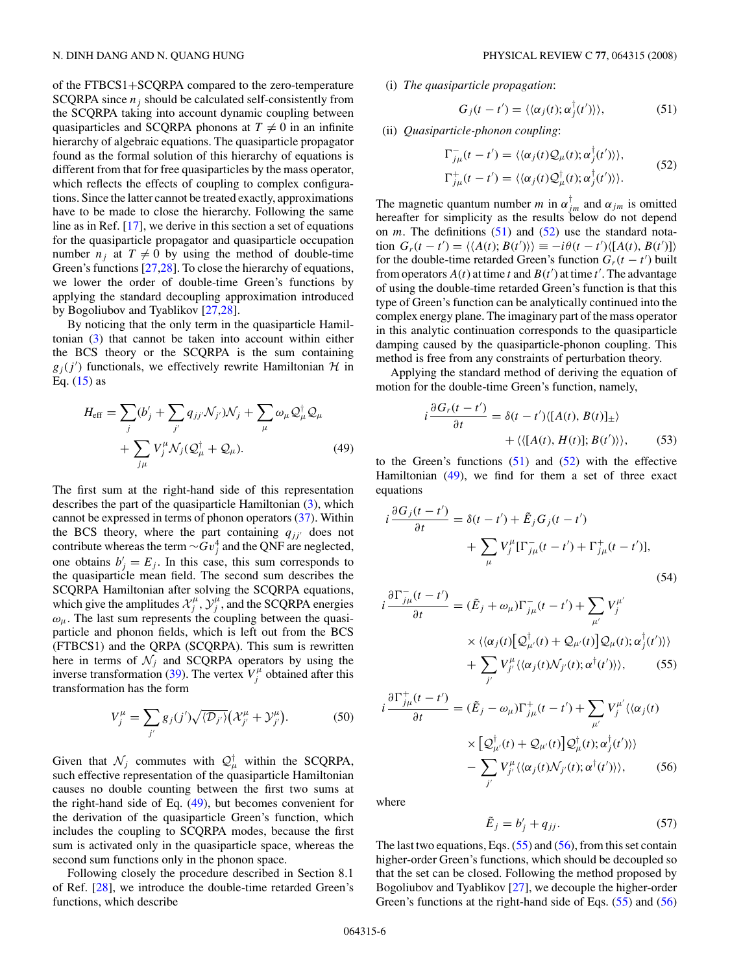<span id="page-5-0"></span>of the FTBCS1+SCQRPA compared to the zero-temperature SCQRPA since  $n_i$  should be calculated self-consistently from the SCQRPA taking into account dynamic coupling between quasiparticles and SCQRPA phonons at  $T \neq 0$  in an infinite hierarchy of algebraic equations. The quasiparticle propagator found as the formal solution of this hierarchy of equations is different from that for free quasiparticles by the mass operator, which reflects the effects of coupling to complex configurations. Since the latter cannot be treated exactly, approximations have to be made to close the hierarchy. Following the same line as in Ref. [\[17\]](#page-13-0), we derive in this section a set of equations for the quasiparticle propagator and quasiparticle occupation number  $n_j$  at  $T \neq 0$  by using the method of double-time Green's functions [\[27,28\]](#page-13-0). To close the hierarchy of equations, we lower the order of double-time Green's functions by applying the standard decoupling approximation introduced by Bogoliubov and Tyablikov [\[27,28\]](#page-13-0).

By noticing that the only term in the quasiparticle Hamiltonian [\(3\)](#page-1-0) that cannot be taken into account within either the BCS theory or the SCQRPA is the sum containing  $g_j(j')$  functionals, we effectively rewrite Hamiltonian  $\mathcal H$  in Eq.  $(15)$  as

$$
H_{\text{eff}} = \sum_{j} (b'_{j} + \sum_{j'} q_{jj'} \mathcal{N}_{j'}) \mathcal{N}_{j} + \sum_{\mu} \omega_{\mu} \mathcal{Q}_{\mu}^{\dagger} \mathcal{Q}_{\mu}
$$

$$
+ \sum_{j\mu} V_{j}^{\mu} \mathcal{N}_{j} (\mathcal{Q}_{\mu}^{\dagger} + \mathcal{Q}_{\mu}). \tag{49}
$$

The first sum at the right-hand side of this representation describes the part of the quasiparticle Hamiltonian [\(3\)](#page-1-0), which cannot be expressed in terms of phonon operators [\(37\)](#page-4-0). Within the BCS theory, where the part containing  $q_{jj'}$  does not contribute whereas the term  $\sim$   $Gv_j^4$  and the QNF are neglected, one obtains  $b'_j = E_j$ . In this case, this sum corresponds to the quasiparticle mean field. The second sum describes the SCQRPA Hamiltonian after solving the SCQRPA equations, which give the amplitudes  $\mathcal{X}^{\mu}_j$ ,  $\mathcal{Y}^{\mu}_j$ , and the SCQRPA energies  $\omega_{\mu}$ . The last sum represents the coupling between the quasiparticle and phonon fields, which is left out from the BCS (FTBCS1) and the QRPA (SCQRPA). This sum is rewritten here in terms of  $\mathcal{N}_j$  and SCQRPA operators by using the inverse transformation [\(39\)](#page-4-0). The vertex  $V_j^{\mu}$  obtained after this transformation has the form

$$
V_j^{\mu} = \sum_{j'} g_j(j') \sqrt{\langle \mathcal{D}_{j'} \rangle} \Big(\mathcal{X}_{j'}^{\mu} + \mathcal{Y}_{j'}^{\mu}\Big). \tag{50}
$$

Given that  $\mathcal{N}_j$  commutes with  $\mathcal{Q}_\mu^{\dagger}$  within the SCQRPA, such effective representation of the quasiparticle Hamiltonian causes no double counting between the first two sums at the right-hand side of Eq. (49), but becomes convenient for the derivation of the quasiparticle Green's function, which includes the coupling to SCQRPA modes, because the first sum is activated only in the quasiparticle space, whereas the second sum functions only in the phonon space.

Following closely the procedure described in Section 8.1 of Ref. [\[28\]](#page-13-0), we introduce the double-time retarded Green's functions, which describe

(i) *The quasiparticle propagation*:

$$
G_j(t - t') = \langle \langle \alpha_j(t); \alpha_j^{\dagger}(t') \rangle \rangle, \tag{51}
$$

(ii) *Quasiparticle-phonon coupling*:

$$
\Gamma_{j\mu}^-(t - t') = \langle \langle \alpha_j(t) \mathcal{Q}_{\mu}(t); \alpha_j^\dagger(t') \rangle \rangle,
$$
  
\n
$$
\Gamma_{j\mu}^+(t - t') = \langle \langle \alpha_j(t) \mathcal{Q}_{\mu}^\dagger(t); \alpha_j^\dagger(t') \rangle \rangle.
$$
\n(52)

The magnetic quantum number *m* in  $\alpha_{jm}^{\dagger}$  and  $\alpha_{jm}$  is omitted hereafter for simplicity as the results below do not depend on  $m$ . The definitions  $(51)$  and  $(52)$  use the standard notation  $G_r(t - t') = \langle \langle A(t), B(t') \rangle \rangle \equiv -i\theta(t - t') \langle [A(t), B(t')] \rangle$ for the double-time retarded Green's function  $G_r(t - t')$  built from operators  $A(t)$  at time *t* and  $B(t')$  at time *t'*. The advantage of using the double-time retarded Green's function is that this type of Green's function can be analytically continued into the complex energy plane. The imaginary part of the mass operator in this analytic continuation corresponds to the quasiparticle damping caused by the quasiparticle-phonon coupling. This method is free from any constraints of perturbation theory.

Applying the standard method of deriving the equation of motion for the double-time Green's function, namely,

$$
i\frac{\partial G_r(t-t')}{\partial t} = \delta(t-t') \langle [A(t), B(t)]_{\pm} \rangle
$$
  
 
$$
+ \langle \langle [A(t), H(t)]; B(t') \rangle \rangle, \qquad (53)
$$

to the Green's functions  $(51)$  and  $(52)$  with the effective Hamiltonian (49), we find for them a set of three exact equations

$$
i\frac{\partial G_j(t-t')}{\partial t} = \delta(t-t') + \tilde{E}_j G_j(t-t')
$$

$$
+ \sum_{\mu} V_j^{\mu} [\Gamma_{j\mu}^-(t-t') + \Gamma_{j\mu}^+(t-t')],
$$
(54)

$$
i\frac{\partial \Gamma_{j\mu}^-(t-t')}{\partial t} = (\tilde{E}_j + \omega_\mu) \Gamma_{j\mu}^-(t-t') + \sum_{\mu'} V_j^{\mu'}\n\times \langle \langle \alpha_j(t) [\mathcal{Q}_{\mu'}^\dagger(t) + \mathcal{Q}_{\mu'}(t)] \mathcal{Q}_{\mu}(t); \alpha_j^\dagger(t') \rangle \rangle\n+ \sum_{j'} V_{j'}^{\mu} \langle \langle \alpha_j(t) \mathcal{N}_{j'}(t); \alpha^\dagger(t') \rangle \rangle, \qquad (55)
$$

$$
i\frac{\partial \Gamma_{j\mu}^{+}(t-t')}{\partial t} = (\tilde{E}_{j} - \omega_{\mu})\Gamma_{j\mu}^{+}(t-t') + \sum_{\mu'} V_{j}^{\mu'}\langle\langle\alpha_{j}(t)\rangle
$$

$$
\times \left[\mathcal{Q}_{\mu'}^{\dagger}(t) + \mathcal{Q}_{\mu'}(t)\right]\mathcal{Q}_{\mu}^{\dagger}(t); \alpha_{j}^{\dagger}(t')\rangle\rangle
$$

$$
- \sum_{j'} V_{j'}^{\mu}\langle\langle\alpha_{j}(t)\mathcal{N}_{j'}(t); \alpha^{\dagger}(t')\rangle\rangle, \qquad (56)
$$

where

$$
\tilde{E}_j = b'_j + q_{jj}.\tag{57}
$$

The last two equations, Eqs.  $(55)$  and  $(56)$ , from this set contain higher-order Green's functions, which should be decoupled so that the set can be closed. Following the method proposed by Bogoliubov and Tyablikov [\[27\]](#page-13-0), we decouple the higher-order Green's functions at the right-hand side of Eqs. (55) and (56)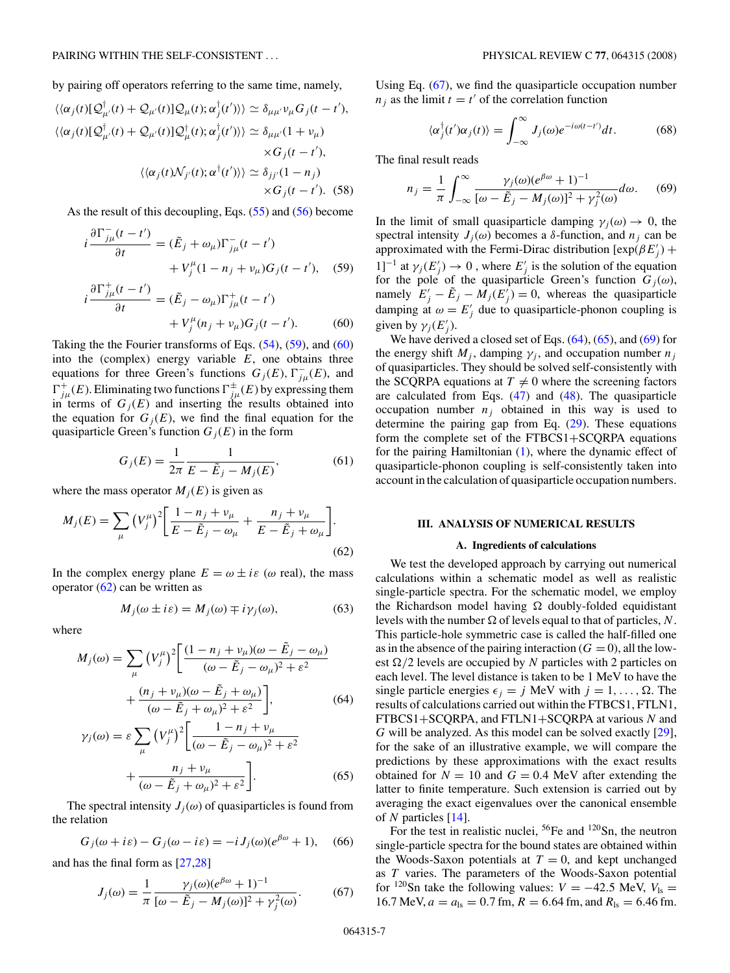<span id="page-6-0"></span>by pairing off operators referring to the same time, namely,

$$
\langle \langle \alpha_j(t)[\mathcal{Q}^{\dagger}_{\mu'}(t) + \mathcal{Q}_{\mu'}(t)]\mathcal{Q}_{\mu}(t); \alpha_j^{\dagger}(t') \rangle \rangle \simeq \delta_{\mu\mu'} \nu_{\mu} G_j(t - t'),
$$
  

$$
\langle \langle \alpha_j(t)[\mathcal{Q}^{\dagger}_{\mu'}(t) + \mathcal{Q}_{\mu'}(t)]\mathcal{Q}^{\dagger}_{\mu}(t); \alpha_j^{\dagger}(t') \rangle \rangle \simeq \delta_{\mu\mu'} (1 + \nu_{\mu})
$$
  

$$
\times G_j(t - t'),
$$
  

$$
\langle \langle \alpha_j(t) \mathcal{N}_{j'}(t); \alpha^{\dagger}(t') \rangle \rangle \simeq \delta_{jj'} (1 - n_j)
$$
  

$$
\times G_j(t - t').
$$
 (58)

As the result of this decoupling, Eqs. [\(55\)](#page-5-0) and [\(56\)](#page-5-0) become

$$
i\frac{\partial\Gamma_{j\mu}^-(t-t')}{\partial t} = (\tilde{E}_j + \omega_\mu)\Gamma_{j\mu}^-(t-t')
$$
  
+ 
$$
V_j^\mu(1 - n_j + \nu_\mu)G_j(t-t'), \quad (59)
$$

$$
i\frac{\partial \Gamma_{j\mu}^+(t-t')}{\partial t} = (\tilde{E}_j - \omega_\mu) \Gamma_{j\mu}^+(t-t')
$$
  
+ 
$$
V_j^\mu(n_j + \nu_\mu) G_j(t-t').
$$
 (60)

Taking the the Fourier transforms of Eqs.  $(54)$ ,  $(59)$ , and  $(60)$ into the (complex) energy variable *E*, one obtains three equations for three Green's functions  $G_j(E)$ ,  $\Gamma_{j\mu}^-(E)$ , and  $\Gamma^+_{j\mu}(E)$ . Eliminating two functions  $\Gamma^{\pm}_{j\mu}(E)$  by expressing them in terms of  $G_j(E)$  and inserting the results obtained into the equation for  $G_i(E)$ , we find the final equation for the quasiparticle Green's function  $G_i(E)$  in the form

$$
G_j(E) = \frac{1}{2\pi} \frac{1}{E - \tilde{E}_j - M_j(E)},
$$
(61)

where the mass operator  $M_i(E)$  is given as

$$
M_j(E) = \sum_{\mu} (V_j^{\mu})^2 \left[ \frac{1 - n_j + v_{\mu}}{E - \tilde{E}_j - \omega_{\mu}} + \frac{n_j + v_{\mu}}{E - \tilde{E}_j + \omega_{\mu}} \right].
$$
\n(62)

In the complex energy plane  $E = \omega \pm i\varepsilon$  ( $\omega$  real), the mass operator  $(62)$  can be written as

$$
M_j(\omega \pm i\varepsilon) = M_j(\omega) \mp i\gamma_j(\omega), \tag{63}
$$

where

$$
M_j(\omega) = \sum_{\mu} (V_j^{\mu})^2 \left[ \frac{(1 - n_j + v_{\mu})(\omega - \tilde{E}_j - \omega_{\mu})}{(\omega - \tilde{E}_j - \omega_{\mu})^2 + \varepsilon^2} + \frac{(n_j + v_{\mu})(\omega - \tilde{E}_j + \omega_{\mu})}{(\omega - \tilde{E}_j + \omega_{\mu})^2 + \varepsilon^2} \right],
$$
(64)

$$
\gamma_j(\omega) = \varepsilon \sum_{\mu} \left(V_j^{\mu}\right)^2 \left[\frac{1 - n_j + \nu_{\mu}}{(\omega - \tilde{E}_j - \omega_{\mu})^2 + \varepsilon^2} + \frac{n_j + \nu_{\mu}}{(\omega - \tilde{E}_j + \omega_{\mu})^2 + \varepsilon^2}\right].
$$
\n(65)

The spectral intensity  $J_i(\omega)$  of quasiparticles is found from the relation

$$
G_j(\omega + i\varepsilon) - G_j(\omega - i\varepsilon) = -i J_j(\omega)(e^{\beta \omega} + 1), \quad (66)
$$

and has the final form as [\[27,28\]](#page-13-0)

$$
J_j(\omega) = \frac{1}{\pi} \frac{\gamma_j(\omega)(e^{\beta \omega} + 1)^{-1}}{[\omega - \tilde{E}_j - M_j(\omega)]^2 + \gamma_j^2(\omega)}.
$$
 (67)

Using Eq. (67), we find the quasiparticle occupation number  $n_j$  as the limit  $t = t'$  of the correlation function

$$
\langle \alpha_j^{\dagger}(t')\alpha_j(t) \rangle = \int_{-\infty}^{\infty} J_j(\omega) e^{-i\omega(t-t')} dt.
$$
 (68)

The final result reads

$$
n_j = \frac{1}{\pi} \int_{-\infty}^{\infty} \frac{\gamma_j(\omega)(e^{\beta \omega} + 1)^{-1}}{[\omega - \tilde{E}_j - M_j(\omega)]^2 + \gamma_j^2(\omega)} d\omega.
$$
 (69)

In the limit of small quasiparticle damping  $\gamma_i(\omega) \to 0$ , the spectral intensity  $J_i(\omega)$  becomes a  $\delta$ -function, and  $n_i$  can be approximated with the Fermi-Dirac distribution  $[\exp(\beta E_j')]$  $1]^{-1}$  at  $\gamma_j(E'_j) \to 0$ , where  $E'_j$  is the solution of the equation for the pole of the quasiparticle Green's function  $G_i(\omega)$ , namely  $E'_{j} - \tilde{E}_{j} - M_{j}(E'_{j}) = 0$ , whereas the quasiparticle damping at  $\omega = E'_j$  due to quasiparticle-phonon coupling is given by  $\gamma_j(E'_j)$ .

We have derived a closed set of Eqs.  $(64)$ ,  $(65)$ , and  $(69)$  for the energy shift  $M_j$ , damping  $\gamma_j$ , and occupation number  $n_j$ of quasiparticles. They should be solved self-consistently with the SCQRPA equations at  $T \neq 0$  where the screening factors are calculated from Eqs. [\(47\)](#page-4-0) and [\(48\)](#page-4-0). The quasiparticle occupation number  $n_j$  obtained in this way is used to determine the pairing gap from Eq. [\(29\)](#page-2-0). These equations form the complete set of the FTBCS1+SCQRPA equations for the pairing Hamiltonian [\(1\)](#page-1-0), where the dynamic effect of quasiparticle-phonon coupling is self-consistently taken into account in the calculation of quasiparticle occupation numbers.

### **III. ANALYSIS OF NUMERICAL RESULTS**

### **A. Ingredients of calculations**

We test the developed approach by carrying out numerical calculations within a schematic model as well as realistic single-particle spectra. For the schematic model, we employ the Richardson model having  $\Omega$  doubly-folded equidistant levels with the number  $\Omega$  of levels equal to that of particles, N. This particle-hole symmetric case is called the half-filled one as in the absence of the pairing interaction  $(G = 0)$ , all the lowest  $\Omega/2$  levels are occupied by *N* particles with 2 particles on each level. The level distance is taken to be 1 MeV to have the single particle energies  $\epsilon_i = j$  MeV with  $j = 1, \ldots, \Omega$ . The results of calculations carried out within the FTBCS1, FTLN1, FTBCS1+SCQRPA, and FTLN1+SCQRPA at various *N* and *G* will be analyzed. As this model can be solved exactly [\[29\]](#page-13-0), for the sake of an illustrative example, we will compare the predictions by these approximations with the exact results obtained for  $N = 10$  and  $G = 0.4$  MeV after extending the latter to finite temperature. Such extension is carried out by averaging the exact eigenvalues over the canonical ensemble of *N* particles [\[14\]](#page-13-0).

For the test in realistic nuclei, <sup>56</sup>Fe and <sup>120</sup>Sn, the neutron single-particle spectra for the bound states are obtained within the Woods-Saxon potentials at  $T = 0$ , and kept unchanged as *T* varies. The parameters of the Woods-Saxon potential for <sup>120</sup>Sn take the following values:  $V = -42.5$  MeV,  $V_{\text{ls}} =$  $16.7 \text{ MeV}, a = a_{\text{ls}} = 0.7 \text{ fm}, R = 6.64 \text{ fm}, \text{and } R_{\text{ls}} = 6.46 \text{ fm}.$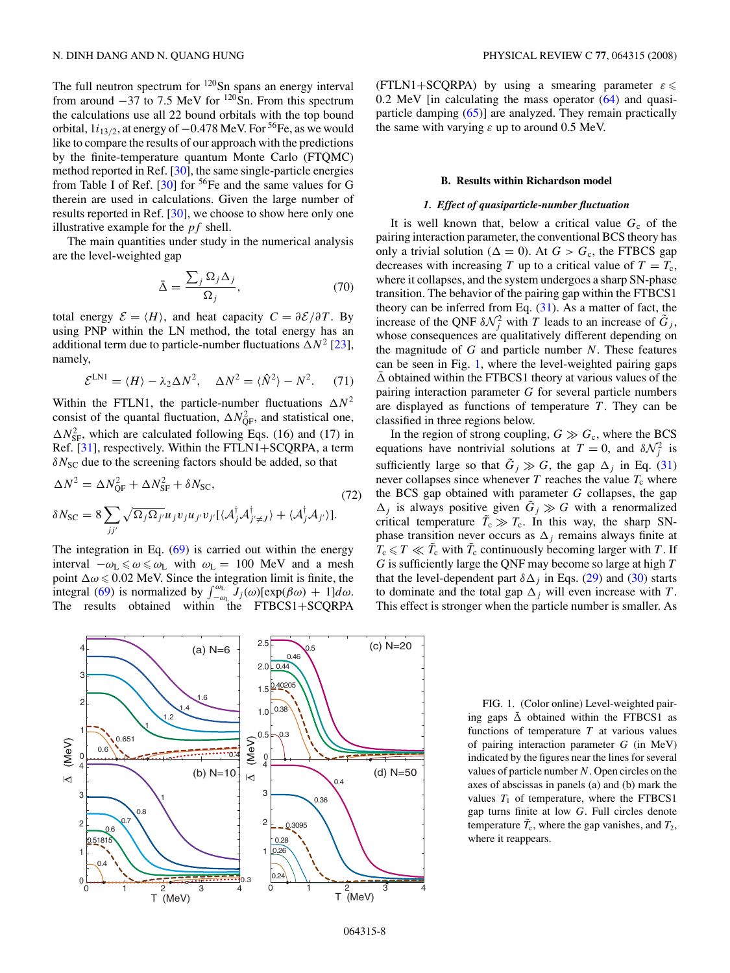<span id="page-7-0"></span>The full neutron spectrum for  $120$ Sn spans an energy interval from around  $-37$  to 7.5 MeV for <sup>120</sup>Sn. From this spectrum the calculations use all 22 bound orbitals with the top bound orbital,  $1i_{13/2}$ , at energy of  $-0.478$  MeV. For <sup>56</sup>Fe, as we would like to compare the results of our approach with the predictions by the finite-temperature quantum Monte Carlo (FTQMC) method reported in Ref. [\[30\]](#page-13-0), the same single-particle energies from Table I of Ref.  $[30]$  for <sup>56</sup>Fe and the same values for G therein are used in calculations. Given the large number of results reported in Ref. [\[30\]](#page-13-0), we choose to show here only one illustrative example for the *pf* shell.

The main quantities under study in the numerical analysis are the level-weighted gap

$$
\bar{\Delta} = \frac{\sum_{j} \Omega_{j} \Delta_{j}}{\Omega_{j}},\tag{70}
$$

total energy  $\mathcal{E} = \langle H \rangle$ , and heat capacity  $C = \frac{\partial \mathcal{E}}{\partial T}$ . By using PNP within the LN method, the total energy has an additional term due to particle-number fluctuations  $\Delta N^2$  [\[23\]](#page-13-0), namely,

$$
\mathcal{E}^{\text{LNI}} = \langle H \rangle - \lambda_2 \Delta N^2, \quad \Delta N^2 = \langle \hat{N}^2 \rangle - N^2. \tag{71}
$$

Within the FTLN1, the particle-number fluctuations  $\Delta N^2$ consist of the quantal fluctuation,  $\Delta N_{\text{QF}}^2$ , and statistical one,  $\Delta N_{\rm SF}^2$ , which are calculated following Eqs. (16) and (17) in Ref. [\[31\]](#page-13-0), respectively. Within the FTLN1+SCQRPA, a term  $\delta N_{\rm SC}$  due to the screening factors should be added, so that

$$
\Delta N^2 = \Delta N_{\rm QF}^2 + \Delta N_{\rm SF}^2 + \delta N_{\rm SC},
$$
  
\n
$$
\delta N_{\rm SC} = 8 \sum_{jj'} \sqrt{\Omega_j \Omega_{j'}} u_j v_j u_{j'} v_{j'} [\langle A_j^{\dagger} A_{j' \neq J}^{\dagger} \rangle + \langle A_j^{\dagger} A_{j'} \rangle].
$$
\n(72)

The integration in Eq.  $(69)$  is carried out within the energy interval  $-\omega$ <sub>L</sub>  $\leq \omega \leq \omega$ <sub>L</sub> with  $\omega$ <sub>L</sub> = 100 MeV and a mesh point  $\Delta \omega \leq 0.02$  MeV. Since the integration limit is finite, the integral [\(69\)](#page-6-0) is normalized by  $\int_{-\omega_L}^{\omega_L} J_j(\omega) [\exp(\beta \omega) + 1] d\omega$ . The results obtained within the FTBCS1+SCQRPA

(FTLN1+SCQRPA) by using a smearing parameter  $\varepsilon \leq$ 0*.*2 MeV [in calculating the mass operator [\(64\)](#page-6-0) and quasiparticle damping [\(65\)](#page-6-0)] are analyzed. They remain practically the same with varying *ε* up to around 0.5 MeV.

### **B. Results within Richardson model**

### *1. Effect of quasiparticle-number fluctuation*

It is well known that, below a critical value  $G_c$  of the pairing interaction parameter, the conventional BCS theory has only a trivial solution ( $\Delta = 0$ ). At  $G > G_c$ , the FTBCS gap decreases with increasing *T* up to a critical value of  $T = T_c$ , where it collapses, and the system undergoes a sharp SN-phase transition. The behavior of the pairing gap within the FTBCS1 theory can be inferred from Eq.  $(31)$ . As a matter of fact, the increase of the QNF  $\delta \mathcal{N}_j^2$  with *T* leads to an increase of  $\tilde{G}_j$ , whose consequences are qualitatively different depending on the magnitude of *G* and particle number *N*. These features can be seen in Fig. 1, where the level-weighted pairing gaps  $\overline{\Delta}$  obtained within the FTBCS1 theory at various values of the pairing interaction parameter *G* for several particle numbers are displayed as functions of temperature  $T$ . They can be classified in three regions below.

In the region of strong coupling,  $G \gg G_c$ , where the BCS equations have nontrivial solutions at  $T = 0$ , and  $\delta \mathcal{N}_j^2$  is sufficiently large so that  $\tilde{G}_i \gg G$ , the gap  $\Delta_i$  in Eq. [\(31\)](#page-3-0) never collapses since whenever  $T$  reaches the value  $T_c$  where the BCS gap obtained with parameter *G* collapses, the gap  $\Delta_i$  is always positive given  $\tilde{G}_i \gg G$  with a renormalized critical temperature  $\tilde{T}_c \gg T_c$ . In this way, the sharp SNphase transition never occurs as  $\Delta_j$  remains always finite at  $T_c \le T \ll \tilde{T}_c$  with  $\tilde{T}_c$  continuously becoming larger with *T*. If *G* is sufficiently large the QNF may become so large at high *T* that the level-dependent part  $\delta \Delta_i$  in Eqs. [\(29\)](#page-2-0) and [\(30\)](#page-2-0) starts to dominate and the total gap  $\Delta_i$  will even increase with *T*. This effect is stronger when the particle number is smaller. As



FIG. 1. (Color online) Level-weighted pairing gaps  $\bar{\Delta}$  obtained within the FTBCS1 as functions of temperature *T* at various values of pairing interaction parameter *G* (in MeV) indicated by the figures near the lines for several values of particle number *N*. Open circles on the axes of abscissas in panels (a) and (b) mark the values  $T_1$  of temperature, where the FTBCS1 gap turns finite at low *G*. Full circles denote temperature  $\tilde{T}_c$ , where the gap vanishes, and  $T_2$ , where it reappears.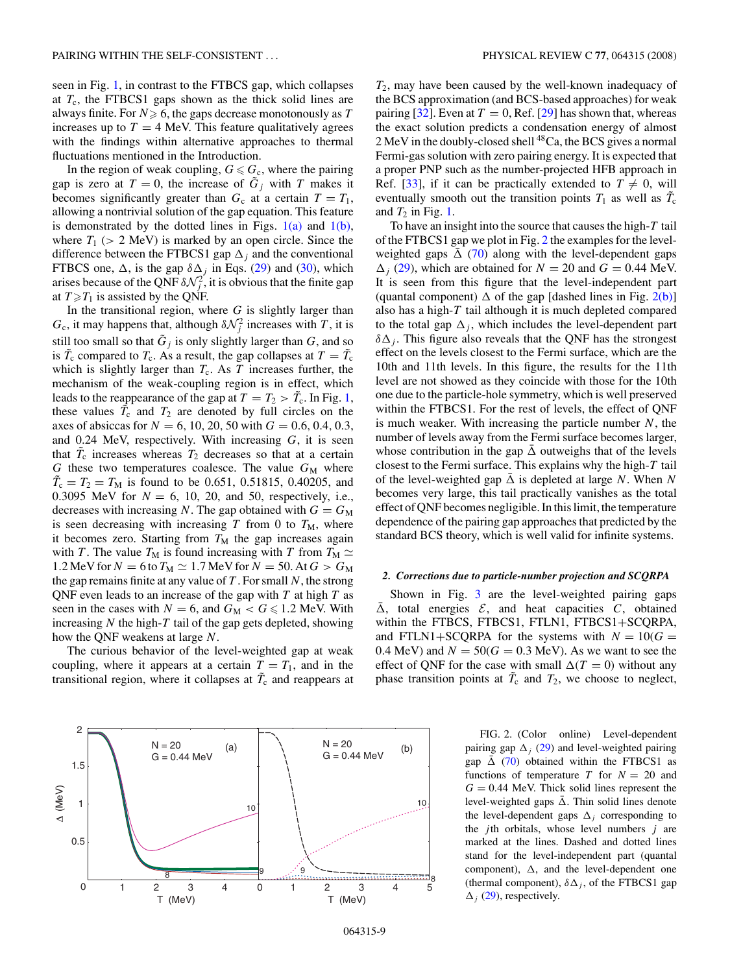seen in Fig. [1,](#page-7-0) in contrast to the FTBCS gap, which collapses at  $T_c$ , the FTBCS1 gaps shown as the thick solid lines are always finite. For  $N \geqslant 6$ , the gaps decrease monotonously as  $T$ increases up to  $T = 4$  MeV. This feature qualitatively agrees with the findings within alternative approaches to thermal fluctuations mentioned in the Introduction.

In the region of weak coupling,  $G \leq G_c$ , where the pairing gap is zero at  $T = 0$ , the increase of  $\tilde{G}_j$  with *T* makes it becomes significantly greater than  $G_c$  at a certain  $T = T_1$ , allowing a nontrivial solution of the gap equation. This feature is demonstrated by the dotted lines in Figs.  $1(a)$  and  $1(b)$ , where  $T_1$  ( $> 2$  MeV) is marked by an open circle. Since the difference between the FTBCS1 gap  $\Delta_i$  and the conventional FTBCS one,  $\Delta$ , is the gap  $\delta \Delta_i$  in Eqs. [\(29\)](#page-2-0) and [\(30\)](#page-2-0), which arises because of the QNF  $\delta \mathcal{N}_j^2$ , it is obvious that the finite gap at  $T \ge T_1$  is assisted by the QNF.

In the transitional region, where *G* is slightly larger than  $G_c$ , it may happens that, although  $\delta N_j^2$  increases with *T*, it is still too small so that  $\tilde{G}_i$  is only slightly larger than  $G$ , and so is  $\tilde{T}_c$  compared to  $T_c$ . As a result, the gap collapses at  $T = \tilde{T}_c$ which is slightly larger than  $T_c$ . As  $T$  increases further, the mechanism of the weak-coupling region is in effect, which leads to the reappearance of the gap at  $T = T_2 > \tilde{T}_c$ . In Fig. [1,](#page-7-0) these values  $\tilde{T}_{c}$  and  $T_{2}$  are denoted by full circles on the axes of absiccas for  $N = 6, 10, 20, 50$  with  $G = 0.6, 0.4, 0.3$ , and 0.24 MeV, respectively. With increasing *G*, it is seen that  $\tilde{T}_c$  increases whereas  $T_2$  decreases so that at a certain  $G$  these two temperatures coalesce. The value  $G_M$  where  $\tilde{T}_c = T_2 = T_M$  is found to be 0.651, 0.51815, 0.40205, and 0.3095 MeV for  $N = 6$ , 10, 20, and 50, respectively, i.e., decreases with increasing *N*. The gap obtained with  $G = G_M$ is seen decreasing with increasing  $T$  from 0 to  $T_M$ , where it becomes zero. Starting from  $T_M$  the gap increases again with *T*. The value  $T_M$  is found increasing with *T* from  $T_M \simeq$ 1.2 MeV for  $N = 6$  to  $T_M \simeq 1.7$  MeV for  $N = 50$ . At  $G > G_M$ the gap remains finite at any value of *T* . For small *N*, the strong QNF even leads to an increase of the gap with *T* at high *T* as seen in the cases with  $N = 6$ , and  $G_M < G \le 1.2$  MeV. With increasing *N* the high-*T* tail of the gap gets depleted, showing how the QNF weakens at large *N*.

The curious behavior of the level-weighted gap at weak coupling, where it appears at a certain  $T = T_1$ , and in the transitional region, where it collapses at  $\tilde{T}_{c}$  and reappears at



*T*2, may have been caused by the well-known inadequacy of the BCS approximation (and BCS-based approaches) for weak pairing  $[32]$ . Even at  $T = 0$ , Ref. [\[29\]](#page-13-0) has shown that, whereas the exact solution predicts a condensation energy of almost 2 MeV in the doubly-closed shell <sup>48</sup>Ca, the BCS gives a normal Fermi-gas solution with zero pairing energy. It is expected that a proper PNP such as the number-projected HFB approach in Ref. [\[33\]](#page-13-0), if it can be practically extended to  $T \neq 0$ , will eventually smooth out the transition points  $T_1$  as well as  $\tilde{T}_c$ and  $T_2$  in Fig. [1.](#page-7-0)

To have an insight into the source that causes the high-*T* tail of the FTBCS1 gap we plot in Fig. 2 the examples for the levelweighted gaps  $\overline{\Delta}$  [\(70\)](#page-7-0) along with the level-dependent gaps  $\Delta$ <sub>*j*</sub> [\(29\)](#page-2-0), which are obtained for *N* = 20 and *G* = 0.44 MeV. It is seen from this figure that the level-independent part (quantal component)  $\Delta$  of the gap [dashed lines in Fig. 2(b)] also has a high-*T* tail although it is much depleted compared to the total gap  $\Delta_i$ , which includes the level-dependent part  $\delta\Delta_i$ . This figure also reveals that the QNF has the strongest effect on the levels closest to the Fermi surface, which are the 10th and 11th levels. In this figure, the results for the 11th level are not showed as they coincide with those for the 10th one due to the particle-hole symmetry, which is well preserved within the FTBCS1. For the rest of levels, the effect of QNF is much weaker. With increasing the particle number *N*, the number of levels away from the Fermi surface becomes larger, whose contribution in the gap  $\bar{\Delta}$  outweighs that of the levels closest to the Fermi surface. This explains why the high-*T* tail of the level-weighted gap  $\bar{\Delta}$  is depleted at large *N*. When *N* becomes very large, this tail practically vanishes as the total effect of QNF becomes negligible. In this limit, the temperature dependence of the pairing gap approaches that predicted by the standard BCS theory, which is well valid for infinite systems.

#### *2. Corrections due to particle-number projection and SCQRPA*

Shown in Fig. [3](#page-9-0) are the level-weighted pairing gaps  $\bar{\Delta}$ , total energies  $\mathcal{E}$ , and heat capacities  $C$ , obtained within the FTBCS, FTBCS1, FTLN1, FTBCS1+SCQRPA, and FTLN1+SCQRPA for the systems with  $N = 10(G =$ 0.4 MeV) and  $N = 50(G = 0.3 \text{ MeV})$ . As we want to see the effect of QNF for the case with small  $\Delta(T = 0)$  without any phase transition points at  $\tilde{T}_c$  and  $T_2$ , we choose to neglect,

> pairing gap  $\Delta_i$  [\(29\)](#page-2-0) and level-weighted pairing gap  $\bar{\Delta}$  [\(70\)](#page-7-0) obtained within the FTBCS1 as functions of temperature *T* for  $N = 20$  and  $G = 0.44$  MeV. Thick solid lines represent the level-weighted gaps  $\bar{\Delta}$ . Thin solid lines denote the level-dependent gaps  $\Delta_i$  corresponding to the *j* th orbitals, whose level numbers *j* are marked at the lines. Dashed and dotted lines stand for the level-independent part (quantal component),  $\Delta$ , and the level-dependent one (thermal component),  $\delta \Delta_i$ , of the FTBCS1 gap  $\Delta_j$  [\(29\)](#page-2-0), respectively.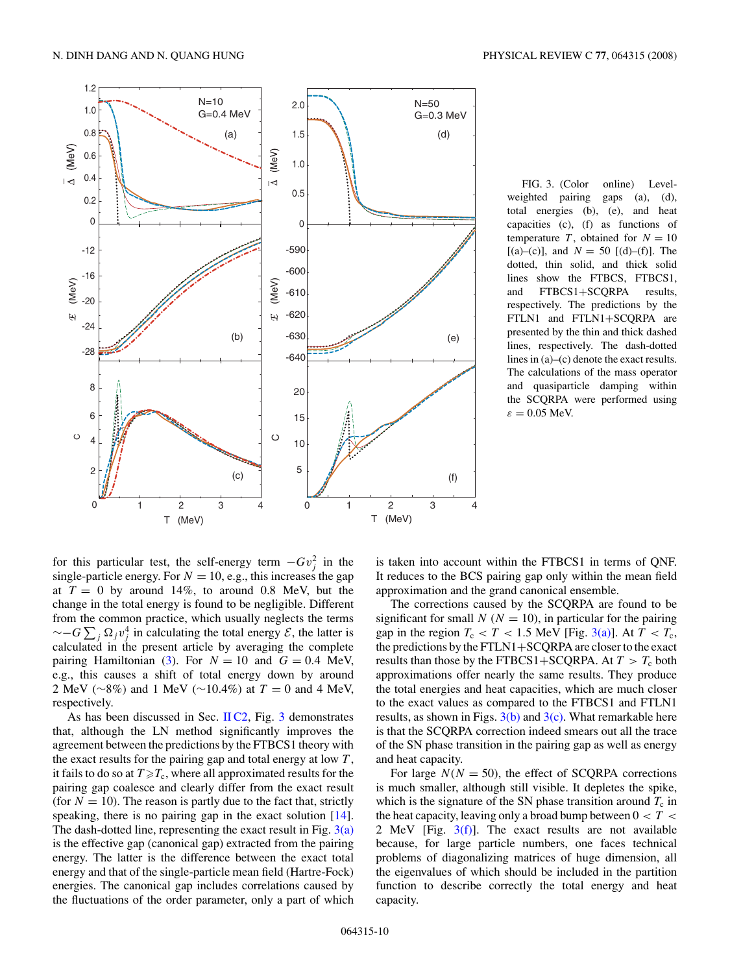<span id="page-9-0"></span>

FIG. 3. (Color online) Levelweighted pairing gaps (a), (d), total energies (b), (e), and heat capacities (c), (f) as functions of temperature *T*, obtained for  $N = 10$  $[(a)-(c)]$ , and  $N = 50$   $[(d)-(f)]$ . The dotted, thin solid, and thick solid lines show the FTBCS, FTBCS1, and FTBCS1+SCQRPA results, respectively. The predictions by the FTLN1 and FTLN1+SCQRPA are presented by the thin and thick dashed lines, respectively. The dash-dotted lines in (a)–(c) denote the exact results. The calculations of the mass operator and quasiparticle damping within the SCQRPA were performed using  $\varepsilon = 0.05$  MeV.

for this particular test, the self-energy term  $-Gv_j^2$  in the single-particle energy. For  $N = 10$ , e.g., this increases the gap at  $T = 0$  by around 14%, to around 0.8 MeV, but the change in the total energy is found to be negligible. Different from the common practice, which usually neglects the terms  $\sim$ −*G* $\sum_{j} \Omega_j v_j^4$  in calculating the total energy  $\mathcal{E}$ , the latter is calculated in the present article by averaging the complete pairing Hamiltonian [\(3\)](#page-1-0). For  $N = 10$  and  $G = 0.4$  MeV, e.g., this causes a shift of total energy down by around 2 MeV (∼8%) and 1 MeV (∼10*.*4%) at *T* = 0 and 4 MeV, respectively.

As has been discussed in Sec. [II C2,](#page-3-0) Fig. 3 demonstrates that, although the LN method significantly improves the agreement between the predictions by the FTBCS1 theory with the exact results for the pairing gap and total energy at low *T* , it fails to do so at  $T \!\geqslant\! T_{\rm c}$ , where all approximated results for the pairing gap coalesce and clearly differ from the exact result (for  $N = 10$ ). The reason is partly due to the fact that, strictly speaking, there is no pairing gap in the exact solution [\[14\]](#page-13-0). The dash-dotted line, representing the exact result in Fig.  $3(a)$ is the effective gap (canonical gap) extracted from the pairing energy. The latter is the difference between the exact total energy and that of the single-particle mean field (Hartre-Fock) energies. The canonical gap includes correlations caused by the fluctuations of the order parameter, only a part of which is taken into account within the FTBCS1 in terms of QNF. It reduces to the BCS pairing gap only within the mean field approximation and the grand canonical ensemble.

The corrections caused by the SCQRPA are found to be significant for small  $N(N = 10)$ , in particular for the pairing gap in the region  $T_c < T < 1.5$  MeV [Fig. 3(a)]. At  $T < T_c$ , the predictions by the FTLN1+SCQRPA are closer to the exact results than those by the FTBCS1+SCQRPA. At  $T > T_c$  both approximations offer nearly the same results. They produce the total energies and heat capacities, which are much closer to the exact values as compared to the FTBCS1 and FTLN1 results, as shown in Figs.  $3(b)$  and  $3(c)$ . What remarkable here is that the SCQRPA correction indeed smears out all the trace of the SN phase transition in the pairing gap as well as energy and heat capacity.

For large  $N(N = 50)$ , the effect of SCQRPA corrections is much smaller, although still visible. It depletes the spike, which is the signature of the SN phase transition around  $T_c$  in the heat capacity, leaving only a broad bump between 0 *<T <* 2 MeV [Fig. 3(f)]. The exact results are not available because, for large particle numbers, one faces technical problems of diagonalizing matrices of huge dimension, all the eigenvalues of which should be included in the partition function to describe correctly the total energy and heat capacity.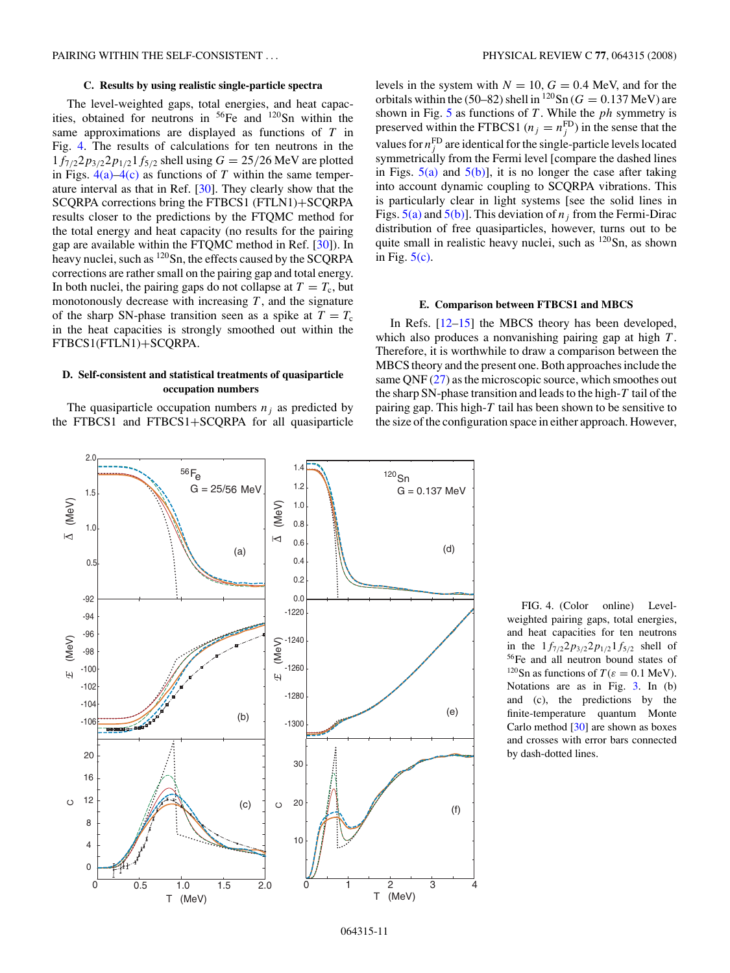### **C. Results by using realistic single-particle spectra**

<span id="page-10-0"></span>The level-weighted gaps, total energies, and heat capacities, obtained for neutrons in 56Fe and 120Sn within the same approximations are displayed as functions of *T* in Fig. 4. The results of calculations for ten neutrons in the  $1f_{7/2}2p_{3/2}2p_{1/2}1f_{5/2}$  shell using  $G = 25/26$  MeV are plotted in Figs.  $4(a) - 4(c)$  as functions of *T* within the same temperature interval as that in Ref. [\[30\]](#page-13-0). They clearly show that the SCQRPA corrections bring the FTBCS1 (FTLN1)+SCQRPA results closer to the predictions by the FTQMC method for the total energy and heat capacity (no results for the pairing gap are available within the FTQMC method in Ref. [\[30\]](#page-13-0)). In heavy nuclei, such as <sup>120</sup>Sn, the effects caused by the SCQRPA corrections are rather small on the pairing gap and total energy. In both nuclei, the pairing gaps do not collapse at  $T = T_c$ , but monotonously decrease with increasing *T* , and the signature of the sharp SN-phase transition seen as a spike at  $T = T_c$ in the heat capacities is strongly smoothed out within the FTBCS1(FTLN1)+SCQRPA.

# **D. Self-consistent and statistical treatments of quasiparticle occupation numbers**

The quasiparticle occupation numbers  $n_i$  as predicted by the FTBCS1 and FTBCS1+SCQRPA for all quasiparticle levels in the system with  $N = 10$ ,  $G = 0.4$  MeV, and for the orbitals within the (50–82) shell in  $^{120}Sn$  (*G* = 0.137 MeV) are shown in Fig. [5](#page-11-0) as functions of *T* . While the *ph* symmetry is preserved within the FTBCS1 ( $n_j = n_j^{\text{FD}}$ ) in the sense that the values for  $n_j^{\text{FD}}$  are identical for the single-particle levels located symmetrically from the Fermi level [compare the dashed lines in Figs.  $5(a)$  and  $5(b)$ ], it is no longer the case after taking into account dynamic coupling to SCQRPA vibrations. This is particularly clear in light systems [see the solid lines in Figs.  $5(a)$  and  $5(b)$ ]. This deviation of  $n_j$  from the Fermi-Dirac distribution of free quasiparticles, however, turns out to be quite small in realistic heavy nuclei, such as  $120$ Sn, as shown in Fig.  $5(c)$ .

# **E. Comparison between FTBCS1 and MBCS**

In Refs. [\[12–15\]](#page-13-0) the MBCS theory has been developed, which also produces a nonvanishing pairing gap at high *T* . Therefore, it is worthwhile to draw a comparison between the MBCS theory and the present one. Both approaches include the same QNF [\(27\)](#page-2-0) as the microscopic source, which smoothes out the sharp SN-phase transition and leads to the high-*T* tail of the pairing gap. This high-*T* tail has been shown to be sensitive to the size of the configuration space in either approach. However,



FIG. 4. (Color online) Levelweighted pairing gaps, total energies, and heat capacities for ten neutrons in the  $1f_{7/2}2p_{3/2}2p_{1/2}1f_{5/2}$  shell of 56Fe and all neutron bound states of <sup>120</sup>Sn as functions of  $T(\varepsilon = 0.1 \text{ MeV})$ . Notations are as in Fig. [3.](#page-9-0) In (b) and (c), the predictions by the finite-temperature quantum Monte Carlo method [\[30\]](#page-13-0) are shown as boxes and crosses with error bars connected by dash-dotted lines.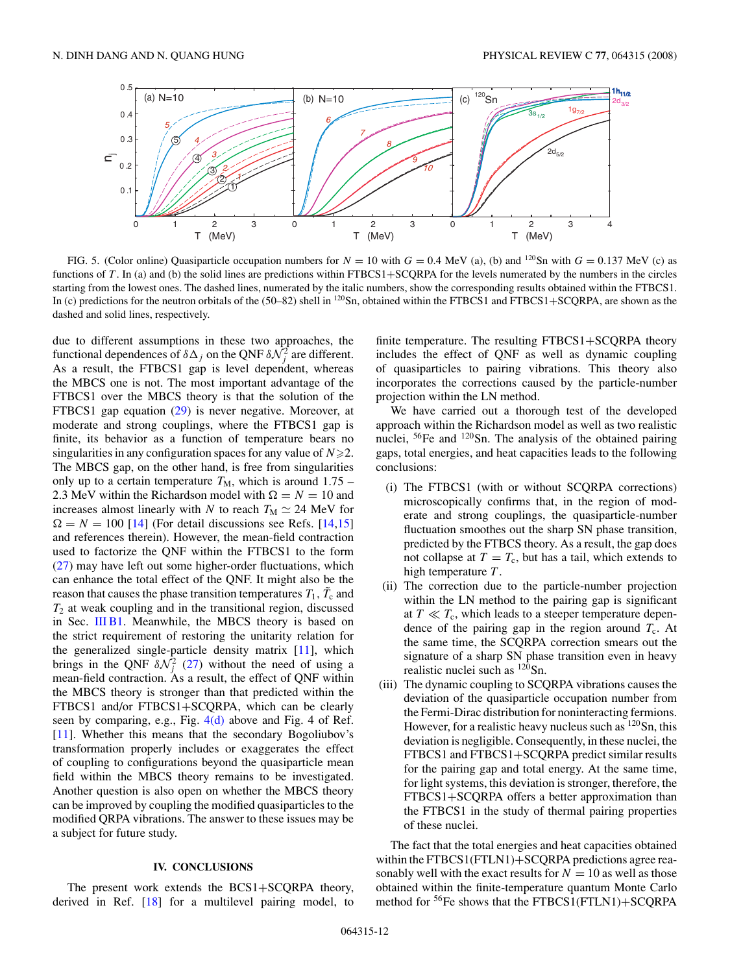<span id="page-11-0"></span>

FIG. 5. (Color online) Quasiparticle occupation numbers for  $N = 10$  with  $G = 0.4$  MeV (a), (b) and <sup>120</sup>Sn with  $G = 0.137$  MeV (c) as functions of *T* . In (a) and (b) the solid lines are predictions within FTBCS1+SCQRPA for the levels numerated by the numbers in the circles starting from the lowest ones. The dashed lines, numerated by the italic numbers, show the corresponding results obtained within the FTBCS1. In (c) predictions for the neutron orbitals of the  $(50–82)$  shell in  $^{120}Sn$ , obtained within the FTBCS1 and FTBCS1+SCQRPA, are shown as the dashed and solid lines, respectively.

due to different assumptions in these two approaches, the functional dependences of  $\delta \Delta_j$  on the QNF  $\delta \mathcal{N}_j^2$  are different. As a result, the FTBCS1 gap is level dependent, whereas the MBCS one is not. The most important advantage of the FTBCS1 over the MBCS theory is that the solution of the FTBCS1 gap equation [\(29\)](#page-2-0) is never negative. Moreover, at moderate and strong couplings, where the FTBCS1 gap is finite, its behavior as a function of temperature bears no singularities in any configuration spaces for any value of  $N \geq 2$ . The MBCS gap, on the other hand, is free from singularities only up to a certain temperature  $T_M$ , which is around  $1.75$  – 2.3 MeV within the Richardson model with  $\Omega = N = 10$  and increases almost linearly with *N* to reach  $T_M \simeq 24$  MeV for  $\Omega = N = 100$  [\[14\]](#page-13-0) (For detail discussions see Refs. [\[14,15\]](#page-13-0) and references therein). However, the mean-field contraction used to factorize the QNF within the FTBCS1 to the form [\(27\)](#page-2-0) may have left out some higher-order fluctuations, which can enhance the total effect of the QNF. It might also be the reason that causes the phase transition temperatures  $T_1$ ,  $\tilde{T}_c$  and  $T_2$  at weak coupling and in the transitional region, discussed in Sec. [III B1.](#page-7-0) Meanwhile, the MBCS theory is based on the strict requirement of restoring the unitarity relation for the generalized single-particle density matrix [\[11\]](#page-13-0), which brings in the QNF  $\delta \mathcal{N}_j^2$  [\(27\)](#page-2-0) without the need of using a mean-field contraction. As a result, the effect of QNF within the MBCS theory is stronger than that predicted within the FTBCS1 and/or FTBCS1+SCQRPA, which can be clearly seen by comparing, e.g., Fig.  $4(d)$  above and Fig. 4 of Ref. [\[11\]](#page-13-0). Whether this means that the secondary Bogoliubov's transformation properly includes or exaggerates the effect of coupling to configurations beyond the quasiparticle mean field within the MBCS theory remains to be investigated. Another question is also open on whether the MBCS theory can be improved by coupling the modified quasiparticles to the modified QRPA vibrations. The answer to these issues may be a subject for future study.

### **IV. CONCLUSIONS**

The present work extends the BCS1+SCQRPA theory, derived in Ref. [\[18\]](#page-13-0) for a multilevel pairing model, to

finite temperature. The resulting FTBCS1+SCQRPA theory includes the effect of QNF as well as dynamic coupling of quasiparticles to pairing vibrations. This theory also incorporates the corrections caused by the particle-number projection within the LN method.

We have carried out a thorough test of the developed approach within the Richardson model as well as two realistic nuclei, 56Fe and 120Sn. The analysis of the obtained pairing gaps, total energies, and heat capacities leads to the following conclusions:

- (i) The FTBCS1 (with or without SCQRPA corrections) microscopically confirms that, in the region of moderate and strong couplings, the quasiparticle-number fluctuation smoothes out the sharp SN phase transition, predicted by the FTBCS theory. As a result, the gap does not collapse at  $T = T_c$ , but has a tail, which extends to high temperature *T* .
- (ii) The correction due to the particle-number projection within the LN method to the pairing gap is significant at  $T \ll T_c$ , which leads to a steeper temperature dependence of the pairing gap in the region around  $T_c$ . At the same time, the SCQRPA correction smears out the signature of a sharp SN phase transition even in heavy realistic nuclei such as <sup>120</sup>Sn.
- (iii) The dynamic coupling to SCQRPA vibrations causes the deviation of the quasiparticle occupation number from the Fermi-Dirac distribution for noninteracting fermions. However, for a realistic heavy nucleus such as  $120$  Sn, this deviation is negligible. Consequently, in these nuclei, the FTBCS1 and FTBCS1+SCQRPA predict similar results for the pairing gap and total energy. At the same time, for light systems, this deviation is stronger, therefore, the FTBCS1+SCQRPA offers a better approximation than the FTBCS1 in the study of thermal pairing properties of these nuclei.

The fact that the total energies and heat capacities obtained within the FTBCS1(FTLN1)+SCQRPA predictions agree reasonably well with the exact results for  $N = 10$  as well as those obtained within the finite-temperature quantum Monte Carlo method for <sup>56</sup>Fe shows that the FTBCS1(FTLN1)+SCQRPA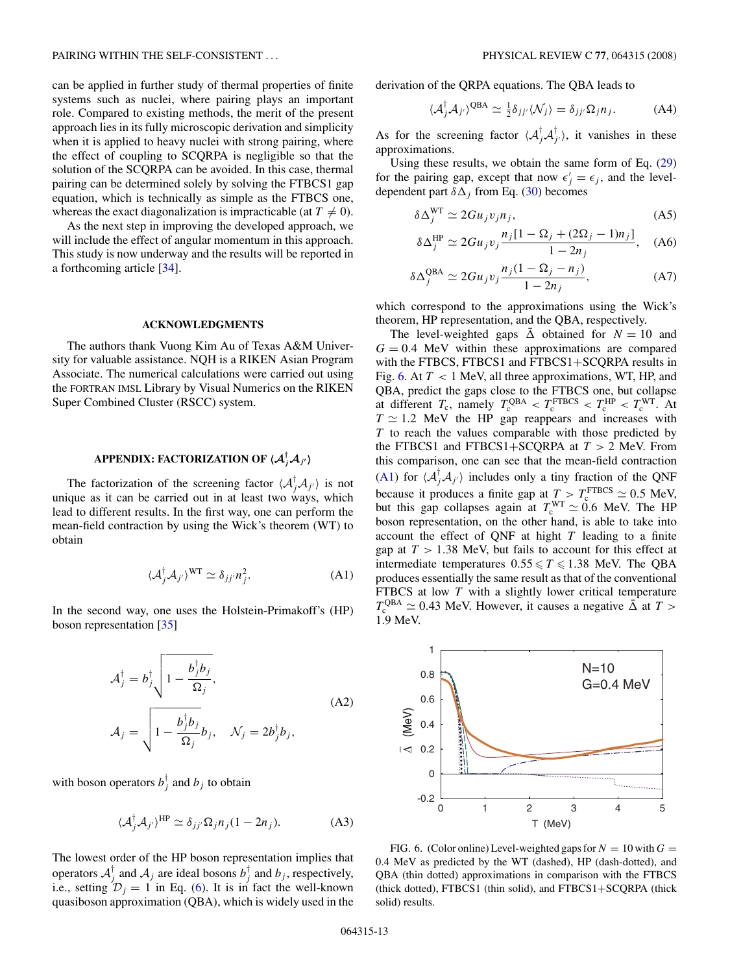can be applied in further study of thermal properties of finite systems such as nuclei, where pairing plays an important role. Compared to existing methods, the merit of the present approach lies in its fully microscopic derivation and simplicity when it is applied to heavy nuclei with strong pairing, where the effect of coupling to SCQRPA is negligible so that the solution of the SCQRPA can be avoided. In this case, thermal pairing can be determined solely by solving the FTBCS1 gap equation, which is technically as simple as the FTBCS one, whereas the exact diagonalization is impracticable (at  $T \neq 0$ ).

As the next step in improving the developed approach, we will include the effect of angular momentum in this approach. This study is now underway and the results will be reported in a forthcoming article [\[34\]](#page-13-0).

### **ACKNOWLEDGMENTS**

The authors thank Vuong Kim Au of Texas A&M University for valuable assistance. NQH is a RIKEN Asian Program Associate. The numerical calculations were carried out using the FORTRAN IMSL Library by Visual Numerics on the RIKEN Super Combined Cluster (RSCC) system.

# **APPENDIX: FACTORIZATION OF** *A† jA<sup>j</sup>***-**

The factorization of the screening factor  $\langle A_j^{\dagger} A_{j'} \rangle$  is not unique as it can be carried out in at least two ways, which lead to different results. In the first way, one can perform the mean-field contraction by using the Wick's theorem (WT) to obtain

$$
\langle \mathcal{A}_j^\dagger \mathcal{A}_{j'} \rangle^{\text{WT}} \simeq \delta_{jj'} n_j^2. \tag{A1}
$$

In the second way, one uses the Holstein-Primakoff's (HP) boson representation [\[35\]](#page-13-0)

$$
\mathcal{A}_j^\dagger = b_j^\dagger \sqrt{1 - \frac{b_j^\dagger b_j}{\Omega_j}},
$$
\n
$$
\mathcal{A}_j = \sqrt{1 - \frac{b_j^\dagger b_j}{\Omega_j}} b_j, \quad \mathcal{N}_j = 2b_j^\dagger b_j,
$$
\n(A2)

with boson operators  $b_j^{\dagger}$  and  $b_j$  to obtain

$$
\langle \mathcal{A}_j^{\dagger} \mathcal{A}_{j'} \rangle^{\text{HP}} \simeq \delta_{jj'} \Omega_j n_j (1 - 2n_j). \tag{A3}
$$

The lowest order of the HP boson representation implies that operators  $A_j^{\dagger}$  and  $A_j$  are ideal bosons  $b_j^{\dagger}$  and  $b_j$ , respectively, i.e., setting  $\mathcal{D}_j = 1$  in Eq. [\(6\)](#page-1-0). It is in fact the well-known quasiboson approximation (QBA), which is widely used in the derivation of the QRPA equations. The QBA leads to

$$
\langle \mathcal{A}_j^{\dagger} \mathcal{A}_{j'} \rangle^{\text{QBA}} \simeq \frac{1}{2} \delta_{jj'} \langle \mathcal{N}_j \rangle = \delta_{jj'} \Omega_j n_j. \tag{A4}
$$

As for the screening factor  $\langle A_j^{\dagger} A_{j'}^{\dagger} \rangle$ , it vanishes in these approximations.

Using these results, we obtain the same form of Eq. [\(29\)](#page-2-0) for the pairing gap, except that now  $\epsilon'_j = \epsilon_j$ , and the leveldependent part  $\delta\Delta_i$  from Eq. [\(30\)](#page-2-0) becomes

$$
\delta \Delta_j^{\text{WT}} \simeq 2Gu_j v_j n_j,\tag{A5}
$$

$$
\delta \Delta_j^{\rm HP} \simeq 2Gu_j v_j \frac{n_j [1 - \Omega_j + (2\Omega_j - 1)n_j]}{1 - 2n_j}, \quad (A6)
$$

$$
\delta \Delta_j^{\text{QBA}} \simeq 2Gu_j v_j \frac{n_j (1 - \Omega_j - n_j)}{1 - 2n_j},\tag{A7}
$$

which correspond to the approximations using the Wick's theorem, HP representation, and the QBA, respectively.

The level-weighted gaps  $\overline{\Delta}$  obtained for  $N = 10$  and  $G = 0.4$  MeV within these approximations are compared with the FTBCS, FTBCS1 and FTBCS1+SCQRPA results in Fig. 6. At *T <* 1 MeV, all three approximations, WT, HP, and QBA, predict the gaps close to the FTBCS one, but collapse at different  $T_c$ , namely  $T_c^{\text{QBA}} < T_c^{\text{FTBCS}} < T_c^{\text{HP}} < T_c^{\text{WT}}$ . At  $T \approx 1.2$  MeV the HP gap reappears and increases with *T* to reach the values comparable with those predicted by the FTBCS1 and FTBCS1+SCQRPA at *T >* 2 MeV. From this comparison, one can see that the mean-field contraction (A1) for  $\langle A_j^{\dagger}A_{j'}\rangle$  includes only a tiny fraction of the QNF because it produces a finite gap at  $T > T_c^{\text{FTBCS}} \approx 0.5 \text{ MeV}$ , but this gap collapses again at  $T_c^{WT} \simeq 0.6$  MeV. The HP boson representation, on the other hand, is able to take into account the effect of QNF at hight *T* leading to a finite gap at  $T > 1.38$  MeV, but fails to account for this effect at intermediate temperatures  $0.55 \le T \le 1.38$  MeV. The QBA produces essentially the same result as that of the conventional FTBCS at low *T* with a slightly lower critical temperature  $T_c^{\text{QBA}} \simeq 0.43$  MeV. However, it causes a negative  $\overline{\Delta}$  at *T* > 1*.*9 MeV.



FIG. 6. (Color online) Level-weighted gaps for  $N = 10$  with  $G =$ 0*.*4 MeV as predicted by the WT (dashed), HP (dash-dotted), and QBA (thin dotted) approximations in comparison with the FTBCS (thick dotted), FTBCS1 (thin solid), and FTBCS1+SCQRPA (thick solid) results.